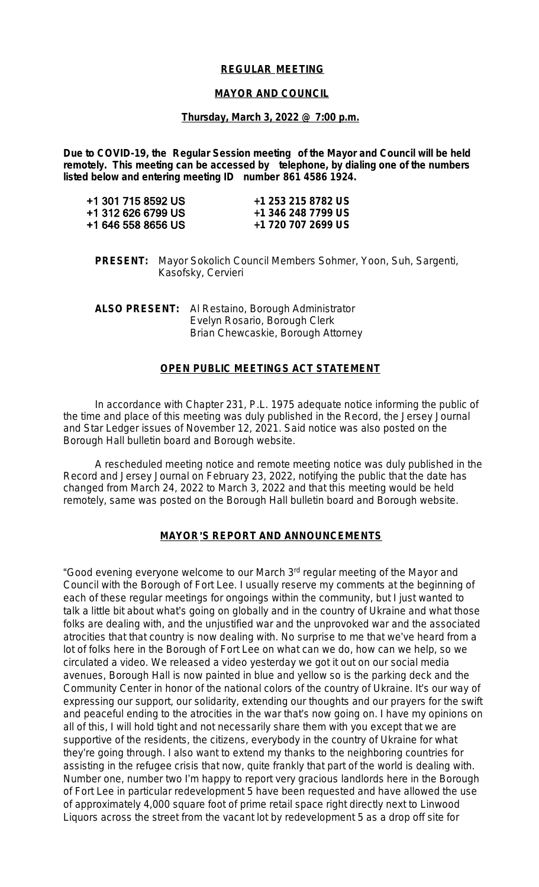# **REGULAR MEETING**

#### **MAYOR AND COUNCIL**

#### **Thursday, March 3, 2022 @ 7:00 p.m.**

**Due to COVID-19, the Regular Session meeting of the Mayor and Council will be held remotely. This meeting can be accessed by telephone, by dialing one of the numbers listed below and entering meeting ID number 861 4586 1924.**

| +1 253 215 8782 US |
|--------------------|
| +1 346 248 7799 US |
| +1 720 707 2699 US |
|                    |

**PRESENT:** Mayor Sokolich Council Members Sohmer, Yoon, Suh, Sargenti, Kasofsky, Cervieri

**ALSO PRESENT:** Al Restaino, Borough Administrator Evelyn Rosario, Borough Clerk Brian Chewcaskie, Borough Attorney

#### **OPEN PUBLIC MEETINGS ACT STATEMENT**

In accordance with Chapter 231, P.L. 1975 adequate notice informing the public of the time and place of this meeting was duly published in the Record, the Jersey Journal and Star Ledger issues of November 12, 2021. Said notice was also posted on the Borough Hall bulletin board and Borough website.

A rescheduled meeting notice and remote meeting notice was duly published in the Record and Jersey Journal on February 23, 2022, notifying the public that the date has changed from March 24, 2022 to March 3, 2022 and that this meeting would be held remotely, same was posted on the Borough Hall bulletin board and Borough website.

# **MAYOR**'**S REPORT AND ANNOUNCEMENTS**

"Good evening everyone welcome to our March 3rd regular meeting of the Mayor and Council with the Borough of Fort Lee. I usually reserve my comments at the beginning of each of these regular meetings for ongoings within the community, but I just wanted to talk a little bit about what's going on globally and in the country of Ukraine and what those folks are dealing with, and the unjustified war and the unprovoked war and the associated atrocities that that country is now dealing with. No surprise to me that we've heard from a lot of folks here in the Borough of Fort Lee on what can we do, how can we help, so we circulated a video. We released a video yesterday we got it out on our social media avenues, Borough Hall is now painted in blue and yellow so is the parking deck and the Community Center in honor of the national colors of the country of Ukraine. It's our way of expressing our support, our solidarity, extending our thoughts and our prayers for the swift and peaceful ending to the atrocities in the war that's now going on. I have my opinions on all of this, I will hold tight and not necessarily share them with you except that we are supportive of the residents, the citizens, everybody in the country of Ukraine for what they're going through. I also want to extend my thanks to the neighboring countries for assisting in the refugee crisis that now, quite frankly that part of the world is dealing with. Number one, number two I'm happy to report very gracious landlords here in the Borough of Fort Lee in particular redevelopment 5 have been requested and have allowed the use of approximately 4,000 square foot of prime retail space right directly next to Linwood Liquors across the street from the vacant lot by redevelopment 5 as a drop off site for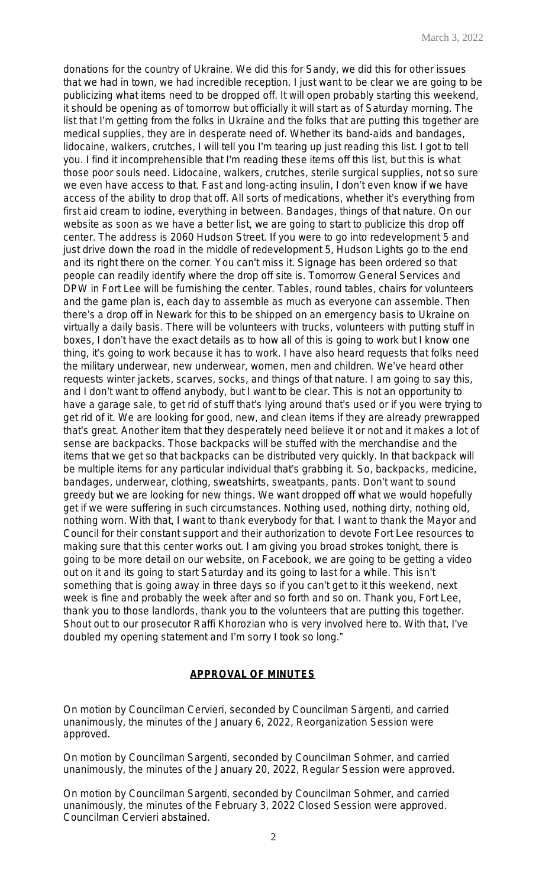donations for the country of Ukraine. We did this for Sandy, we did this for other issues that we had in town, we had incredible reception. I just want to be clear we are going to be publicizing what items need to be dropped off. It will open probably starting this weekend, it should be opening as of tomorrow but officially it will start as of Saturday morning. The list that I'm getting from the folks in Ukraine and the folks that are putting this together are medical supplies, they are in desperate need of. Whether its band-aids and bandages, lidocaine, walkers, crutches, I will tell you I'm tearing up just reading this list. I got to tell you. I find it incomprehensible that I'm reading these items off this list, but this is what those poor souls need. Lidocaine, walkers, crutches, sterile surgical supplies, not so sure we even have access to that. Fast and long-acting insulin, I don't even know if we have access of the ability to drop that off. All sorts of medications, whether it's everything from first aid cream to iodine, everything in between. Bandages, things of that nature. On our website as soon as we have a better list, we are going to start to publicize this drop off center. The address is 2060 Hudson Street. If you were to go into redevelopment 5 and just drive down the road in the middle of redevelopment 5, Hudson Lights go to the end and its right there on the corner. You can't miss it. Signage has been ordered so that people can readily identify where the drop off site is. Tomorrow General Services and DPW in Fort Lee will be furnishing the center. Tables, round tables, chairs for volunteers and the game plan is, each day to assemble as much as everyone can assemble. Then there's a drop off in Newark for this to be shipped on an emergency basis to Ukraine on virtually a daily basis. There will be volunteers with trucks, volunteers with putting stuff in boxes, I don't have the exact details as to how all of this is going to work but I know one thing, it's going to work because it has to work. I have also heard requests that folks need the military underwear, new underwear, women, men and children. We've heard other requests winter jackets, scarves, socks, and things of that nature. I am going to say this, and I don't want to offend anybody, but I want to be clear. This is not an opportunity to have a garage sale, to get rid of stuff that's lying around that's used or if you were trying to get rid of it. We are looking for good, new, and clean items if they are already prewrapped that's great. Another item that they desperately need believe it or not and it makes a lot of sense are backpacks. Those backpacks will be stuffed with the merchandise and the items that we get so that backpacks can be distributed very quickly. In that backpack will be multiple items for any particular individual that's grabbing it. So, backpacks, medicine, bandages, underwear, clothing, sweatshirts, sweatpants, pants. Don't want to sound greedy but we are looking for new things. We want dropped off what we would hopefully get if we were suffering in such circumstances. Nothing used, nothing dirty, nothing old, nothing worn. With that, I want to thank everybody for that. I want to thank the Mayor and Council for their constant support and their authorization to devote Fort Lee resources to making sure that this center works out. I am giving you broad strokes tonight, there is going to be more detail on our website, on Facebook, we are going to be getting a video out on it and its going to start Saturday and its going to last for a while. This isn't something that is going away in three days so if you can't get to it this weekend, next week is fine and probably the week after and so forth and so on. Thank you, Fort Lee, thank you to those landlords, thank you to the volunteers that are putting this together. Shout out to our prosecutor Raffi Khorozian who is very involved here to. With that, I've doubled my opening statement and I'm sorry I took so long."

# **APPROVAL OF MINUTES**

On motion by Councilman Cervieri, seconded by Councilman Sargenti, and carried unanimously, the minutes of the January 6, 2022, Reorganization Session were approved.

On motion by Councilman Sargenti, seconded by Councilman Sohmer, and carried unanimously, the minutes of the January 20, 2022, Regular Session were approved.

On motion by Councilman Sargenti, seconded by Councilman Sohmer, and carried unanimously, the minutes of the February 3, 2022 Closed Session were approved. Councilman Cervieri abstained.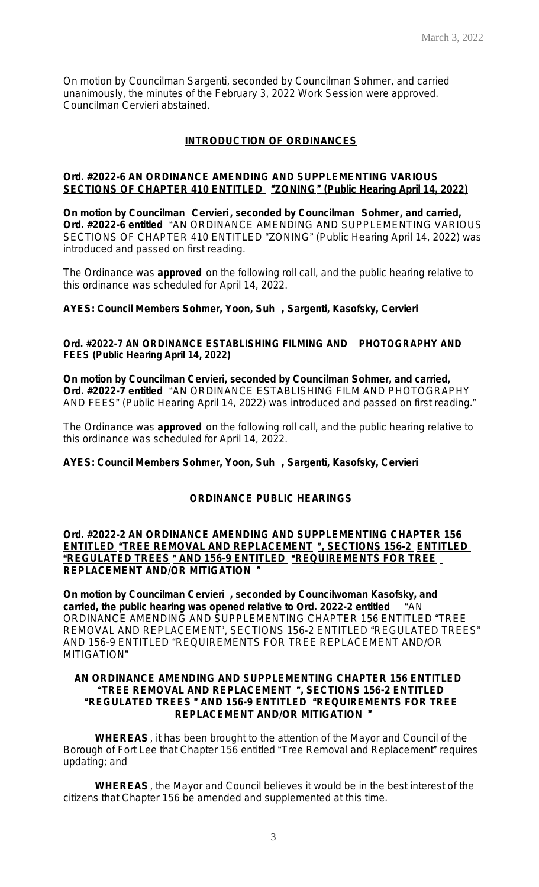On motion by Councilman Sargenti, seconded by Councilman Sohmer, and carried unanimously, the minutes of the February 3, 2022 Work Session were approved. Councilman Cervieri abstained.

# **INTRODUCTION OF ORDINANCES**

# **Ord. #2022-6 AN ORDINANCE AMENDING AND SUPPLEMENTING VARIOUS SECTIONS OF CHAPTER 410 ENTITLED** "**ZONING**" **(Public Hearing April 14, 2022)**

**On motion by Councilman Cervieri , seconded by Councilman Sohmer, and carried, Ord. #2022-6 entitled** "AN ORDINANCE AMENDING AND SUPPLEMENTING VARIOUS SECTIONS OF CHAPTER 410 ENTITLED "ZONING" (Public Hearing April 14, 2022) was introduced and passed on first reading.

The Ordinance was **approved** on the following roll call, and the public hearing relative to this ordinance was scheduled for April 14, 2022.

#### **AYES: Council Members Sohmer, Yoon, Suh , Sargenti, Kasofsky, Cervieri**

# **Ord. #2022-7 AN ORDINANCE ESTABLISHING FILMING AND PHOTOGRAPHY AND FEES (Public Hearing April 14, 2022)**

**On motion by Councilman Cervieri, seconded by Councilman Sohmer, and carried, Ord. #2022-7 entitled** "AN ORDINANCE ESTABLISHING FILM AND PHOTOGRAPHY AND FEES" (Public Hearing April 14, 2022) was introduced and passed on first reading."

The Ordinance was **approved** on the following roll call, and the public hearing relative to this ordinance was scheduled for April 14, 2022.

#### **AYES: Council Members Sohmer, Yoon, Suh , Sargenti, Kasofsky, Cervieri**

#### **ORDINANCE PUBLIC HEARINGS**

# **Ord. #2022-2 AN ORDINANCE AMENDING AND SUPPLEMENTING CHAPTER 156 ENTITLED** "**TREE REMOVAL AND REPLACEMENT** "**, SECTIONS 156-2 ENTITLED**  "**REGULATED TREES** " **AND 156-9 ENTITLED** "**REQUIREMENTS FOR TREE REPLACEMENT AND/OR MITIGATION** "

**On motion by Councilman Cervieri , seconded by Councilwoman Kasofsky, and carried, the public hearing was opened relative to Ord. 2022-2 entitled** "AN ORDINANCE AMENDING AND SUPPLEMENTING CHAPTER 156 ENTITLED "TREE REMOVAL AND REPLACEMENT', SECTIONS 156-2 ENTITLED "REGULATED TREES" AND 156-9 ENTITLED "REQUIREMENTS FOR TREE REPLACEMENT AND/OR MITIGATION"

#### **AN ORDINANCE AMENDING AND SUPPLEMENTING CHAPTER 156 ENTITLED** "**TREE REMOVAL AND REPLACEMENT** "**, SECTIONS 156-2 ENTITLED** "**REGULATED TREES** " **AND 156-9 ENTITLED** "**REQUIREMENTS FOR TREE REPLACEMENT AND/OR MITIGATION** "

**WHEREAS**, it has been brought to the attention of the Mayor and Council of the Borough of Fort Lee that Chapter 156 entitled "Tree Removal and Replacement" requires updating; and

**WHEREAS**, the Mayor and Council believes it would be in the best interest of the citizens that Chapter 156 be amended and supplemented at this time.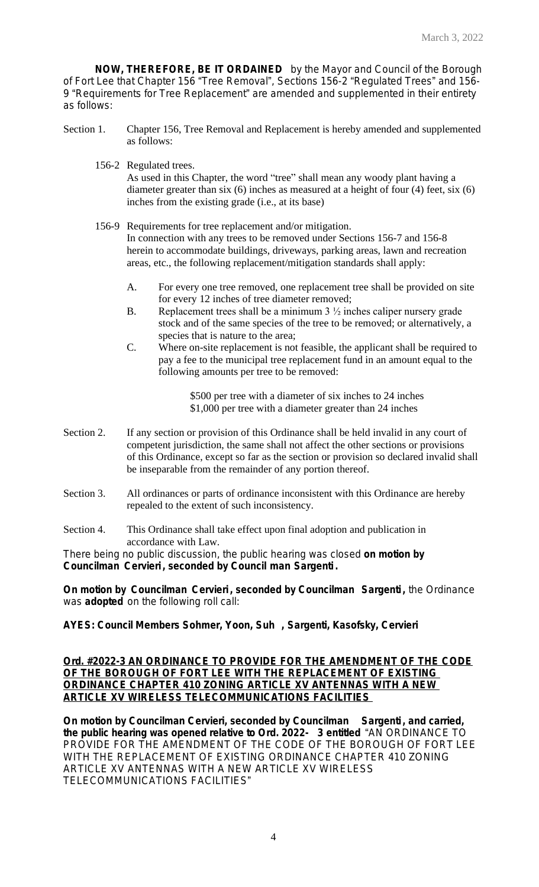**NOW, THEREFORE, BE IT ORDAINED** by the Mayor and Council of the Borough of Fort Lee that Chapter 156 "Tree Removal", Sections 156-2 "Regulated Trees" and 156- 9 "Requirements for Tree Replacement" are amended and supplemented in their entirety as follows:

- Section 1. Chapter 156, Tree Removal and Replacement is hereby amended and supplemented as follows:
	- 156-2 Regulated trees.

As used in this Chapter, the word "tree" shall mean any woody plant having a diameter greater than six (6) inches as measured at a height of four (4) feet, six (6) inches from the existing grade (i.e., at its base)

- 156-9 Requirements for tree replacement and/or mitigation. In connection with any trees to be removed under Sections 156-7 and 156-8 herein to accommodate buildings, driveways, parking areas, lawn and recreation areas, etc., the following replacement/mitigation standards shall apply:
	- A. For every one tree removed, one replacement tree shall be provided on site for every 12 inches of tree diameter removed;
	- B. Replacement trees shall be a minimum  $3\frac{1}{2}$  inches caliper nursery grade stock and of the same species of the tree to be removed; or alternatively, a species that is nature to the area;
	- C. Where on-site replacement is not feasible, the applicant shall be required to pay a fee to the municipal tree replacement fund in an amount equal to the following amounts per tree to be removed:

\$500 per tree with a diameter of six inches to 24 inches \$1,000 per tree with a diameter greater than 24 inches

- Section 2. If any section or provision of this Ordinance shall be held invalid in any court of competent jurisdiction, the same shall not affect the other sections or provisions of this Ordinance, except so far as the section or provision so declared invalid shall be inseparable from the remainder of any portion thereof.
- Section 3. All ordinances or parts of ordinance inconsistent with this Ordinance are hereby repealed to the extent of such inconsistency.
- Section 4. This Ordinance shall take effect upon final adoption and publication in accordance with Law.

There being no public discussion, the public hearing was closed **on motion by Councilman Cervieri , seconded by Council man Sargenti .**

**On motion by Councilman Cervieri , seconded by Councilman Sargenti ,** the Ordinance was **adopted** on the following roll call:

**AYES: Council Members Sohmer, Yoon, Suh , Sargenti, Kasofsky, Cervieri**

### **Ord. #2022-3 AN ORDINANCE TO PROVIDE FOR THE AMENDMENT OF THE CODE OF THE BOROUGH OF FORT LEE WITH THE REPLACEMENT OF EXISTING ORDINANCE CHAPTER 410 ZONING ARTICLE XV ANTENNAS WITH A NEW ARTICLE XV WIRELESS TELECOMMUNICATIONS FACILITIES**

**On motion by Councilman Cervieri, seconded by Councilman Sargenti , and carried, the public hearing was opened relative to Ord. 2022- 3 entitled** "AN ORDINANCE TO PROVIDE FOR THE AMENDMENT OF THE CODE OF THE BOROUGH OF FORT LEE WITH THE REPLACEMENT OF EXISTING ORDINANCE CHAPTER 410 ZONING ARTICLE XV ANTENNAS WITH A NEW ARTICLE XV WIRELESS TELECOMMUNICATIONS FACILITIES"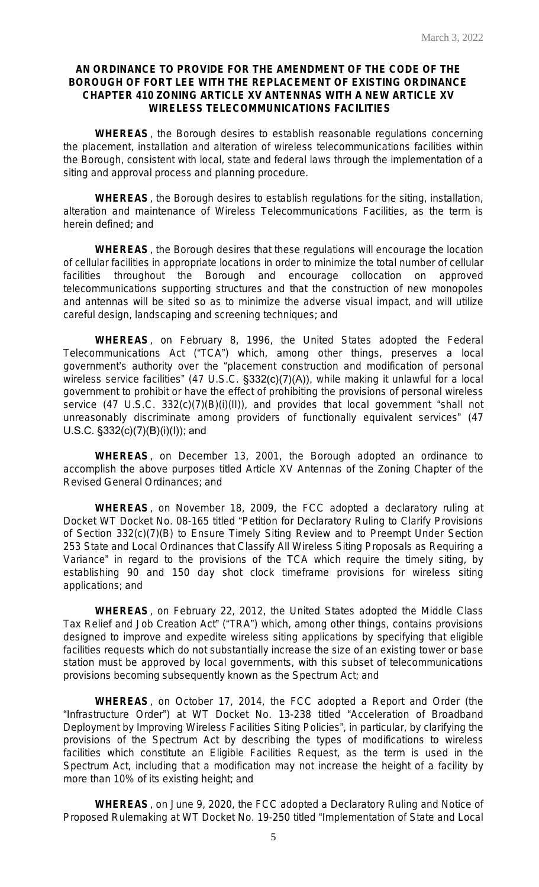# **AN ORDINANCE TO PROVIDE FOR THE AMENDMENT OF THE CODE OF THE BOROUGH OF FORT LEE WITH THE REPLACEMENT OF EXISTING ORDINANCE CHAPTER 410 ZONING ARTICLE XV ANTENNAS WITH A NEW ARTICLE XV WIRELESS TELECOMMUNICATIONS FACILITIES**

**WHEREAS**, the Borough desires to establish reasonable regulations concerning the placement, installation and alteration of wireless telecommunications facilities within the Borough, consistent with local, state and federal laws through the implementation of a siting and approval process and planning procedure.

**WHEREAS**, the Borough desires to establish regulations for the siting, installation, alteration and maintenance of Wireless Telecommunications Facilities, as the term is herein defined; and

**WHEREAS**, the Borough desires that these regulations will encourage the location of cellular facilities in appropriate locations in order to minimize the total number of cellular facilities throughout the Borough and encourage collocation on approved telecommunications supporting structures and that the construction of new monopoles and antennas will be sited so as to minimize the adverse visual impact, and will utilize careful design, landscaping and screening techniques; and

**WHEREAS**, on February 8, 1996, the United States adopted the Federal Telecommunications Act ("TCA") which, among other things, preserves a local government's authority over the "placement construction and modification of personal wireless service facilities" (47 U.S.C. §332(c)(7)(A)), while making it unlawful for a local government to prohibit or have the effect of prohibiting the provisions of personal wireless service (47 U.S.C. 332(c)(7)(B)(i)(II)), and provides that local government "shall not unreasonably discriminate among providers of functionally equivalent services" (47 U.S.C. §332(c)(7)(B)(i)(I)); and

**WHEREAS**, on December 13, 2001, the Borough adopted an ordinance to accomplish the above purposes titled Article XV Antennas of the Zoning Chapter of the Revised General Ordinances; and

**WHEREAS**, on November 18, 2009, the FCC adopted a declaratory ruling at Docket WT Docket No. 08-165 titled "Petition for Declaratory Ruling to Clarify Provisions of Section 332(c)(7)(B) to Ensure Timely Siting Review and to Preempt Under Section 253 State and Local Ordinances that Classify All Wireless Siting Proposals as Requiring a Variance" in regard to the provisions of the TCA which require the timely siting, by establishing 90 and 150 day shot clock timeframe provisions for wireless siting applications; and

**WHEREAS**, on February 22, 2012, the United States adopted the Middle Class Tax Relief and Job Creation Act" ("TRA") which, among other things, contains provisions designed to improve and expedite wireless siting applications by specifying that eligible facilities requests which do not substantially increase the size of an existing tower or base station must be approved by local governments, with this subset of telecommunications provisions becoming subsequently known as the Spectrum Act; and

**WHEREAS**, on October 17, 2014, the FCC adopted a Report and Order (the "Infrastructure Order") at WT Docket No. 13-238 titled "Acceleration of Broadband Deployment by Improving Wireless Facilities Siting Policies", in particular, by clarifying the provisions of the Spectrum Act by describing the types of modifications to wireless facilities which constitute an Eligible Facilities Request, as the term is used in the Spectrum Act, including that a modification may not increase the height of a facility by more than 10% of its existing height; and

**WHEREAS**, on June 9, 2020, the FCC adopted a Declaratory Ruling and Notice of Proposed Rulemaking at WT Docket No. 19-250 titled "Implementation of State and Local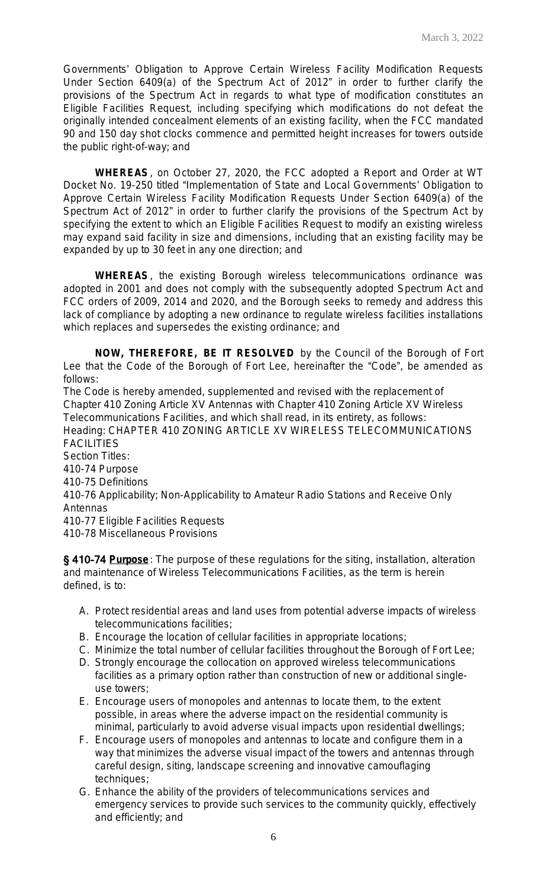Governments' Obligation to Approve Certain Wireless Facility Modification Requests Under Section 6409(a) of the Spectrum Act of 2012" in order to further clarify the provisions of the Spectrum Act in regards to what type of modification constitutes an Eligible Facilities Request, including specifying which modifications do not defeat the originally intended concealment elements of an existing facility, when the FCC mandated 90 and 150 day shot clocks commence and permitted height increases for towers outside the public right-of-way; and

**WHEREAS**, on October 27, 2020, the FCC adopted a Report and Order at WT Docket No. 19-250 titled "Implementation of State and Local Governments' Obligation to Approve Certain Wireless Facility Modification Requests Under Section 6409(a) of the Spectrum Act of 2012" in order to further clarify the provisions of the Spectrum Act by specifying the extent to which an Eligible Facilities Request to modify an existing wireless may expand said facility in size and dimensions, including that an existing facility may be expanded by up to 30 feet in any one direction; and

**WHEREAS**, the existing Borough wireless telecommunications ordinance was adopted in 2001 and does not comply with the subsequently adopted Spectrum Act and FCC orders of 2009, 2014 and 2020, and the Borough seeks to remedy and address this lack of compliance by adopting a new ordinance to regulate wireless facilities installations which replaces and supersedes the existing ordinance; and

**NOW, THEREFORE, BE IT RESOLVED** by the Council of the Borough of Fort Lee that the Code of the Borough of Fort Lee, hereinafter the "Code", be amended as follows:

The Code is hereby amended, supplemented and revised with the replacement of Chapter 410 Zoning Article XV Antennas with Chapter 410 Zoning Article XV Wireless Telecommunications Facilities, and which shall read, in its entirety, as follows: Heading: CHAPTER 410 ZONING ARTICLE XV WIRELESS TELECOMMUNICATIONS FACILITIES Section Titles: 410-74 Purpose

410-75 Definitions

410-76 Applicability; Non-Applicability to Amateur Radio Stations and Receive Only Antennas

410-77 Eligible Facilities Requests

410-78 Miscellaneous Provisions

§ 410-74 **Purpose**: The purpose of these regulations for the siting, installation, alteration and maintenance of Wireless Telecommunications Facilities, as the term is herein defined, is to:

- A. Protect residential areas and land uses from potential adverse impacts of wireless telecommunications facilities;
- B. Encourage the location of cellular facilities in appropriate locations;
- C. Minimize the total number of cellular facilities throughout the Borough of Fort Lee;
- D. Strongly encourage the collocation on approved wireless telecommunications facilities as a primary option rather than construction of new or additional singleuse towers;
- E. Encourage users of monopoles and antennas to locate them, to the extent possible, in areas where the adverse impact on the residential community is minimal, particularly to avoid adverse visual impacts upon residential dwellings;
- F. Encourage users of monopoles and antennas to locate and configure them in a way that minimizes the adverse visual impact of the towers and antennas through careful design, siting, landscape screening and innovative camouflaging techniques;
- G. Enhance the ability of the providers of telecommunications services and emergency services to provide such services to the community quickly, effectively and efficiently; and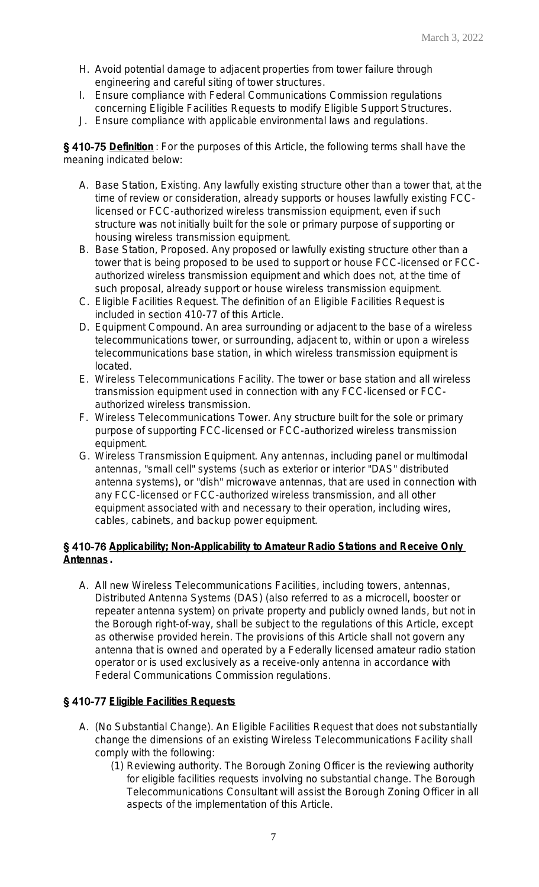- H. Avoid potential damage to adjacent properties from tower failure through engineering and careful siting of tower structures.
- I. Ensure compliance with Federal Communications Commission regulations concerning Eligible Facilities Requests to modify Eligible Support Structures.
- J. Ensure compliance with applicable environmental laws and regulations.

§ 410-75 **Definition** : For the purposes of this Article, the following terms shall have the meaning indicated below:

- A. Base Station, Existing. Any lawfully existing structure other than a tower that, at the time of review or consideration, already supports or houses lawfully existing FCClicensed or FCC-authorized wireless transmission equipment, even if such structure was not initially built for the sole or primary purpose of supporting or housing wireless transmission equipment.
- B. Base Station, Proposed. Any proposed or lawfully existing structure other than a tower that is being proposed to be used to support or house FCC-licensed or FCCauthorized wireless transmission equipment and which does not, at the time of such proposal, already support or house wireless transmission equipment.
- C. Eligible Facilities Request. The definition of an Eligible Facilities Request is included in section 410-77 of this Article.
- D. Equipment Compound. An area surrounding or adjacent to the base of a wireless telecommunications tower, or surrounding, adjacent to, within or upon a wireless telecommunications base station, in which wireless transmission equipment is located.
- E. Wireless Telecommunications Facility. The tower or base station and all wireless transmission equipment used in connection with any FCC-licensed or FCCauthorized wireless transmission.
- F. Wireless Telecommunications Tower. Any structure built for the sole or primary purpose of supporting FCC-licensed or FCC-authorized wireless transmission equipment.
- G. Wireless Transmission Equipment. Any antennas, including panel or multimodal antennas, "small cell" systems (such as exterior or interior "DAS" distributed antenna systems), or "dish" microwave antennas, that are used in connection with any FCC-licensed or FCC-authorized wireless transmission, and all other equipment associated with and necessary to their operation, including wires, cables, cabinets, and backup power equipment.

# § 410-76 **Applicability; Non-Applicability to Amateur Radio Stations and Receive Only Antennas .**

A. All new Wireless Telecommunications Facilities, including towers, antennas, Distributed Antenna Systems (DAS) (also referred to as a microcell, booster or repeater antenna system) on private property and publicly owned lands, but not in the Borough right-of-way, shall be subject to the regulations of this Article, except as otherwise provided herein. The provisions of this Article shall not govern any antenna that is owned and operated by a Federally licensed amateur radio station operator or is used exclusively as a receive-only antenna in accordance with Federal Communications Commission regulations.

# § 410-77 **Eligible Facilities Requests**

- A. (No Substantial Change). An Eligible Facilities Request that does not substantially change the dimensions of an existing Wireless Telecommunications Facility shall comply with the following:
	- (1) Reviewing authority. The Borough Zoning Officer is the reviewing authority for eligible facilities requests involving no substantial change. The Borough Telecommunications Consultant will assist the Borough Zoning Officer in all aspects of the implementation of this Article.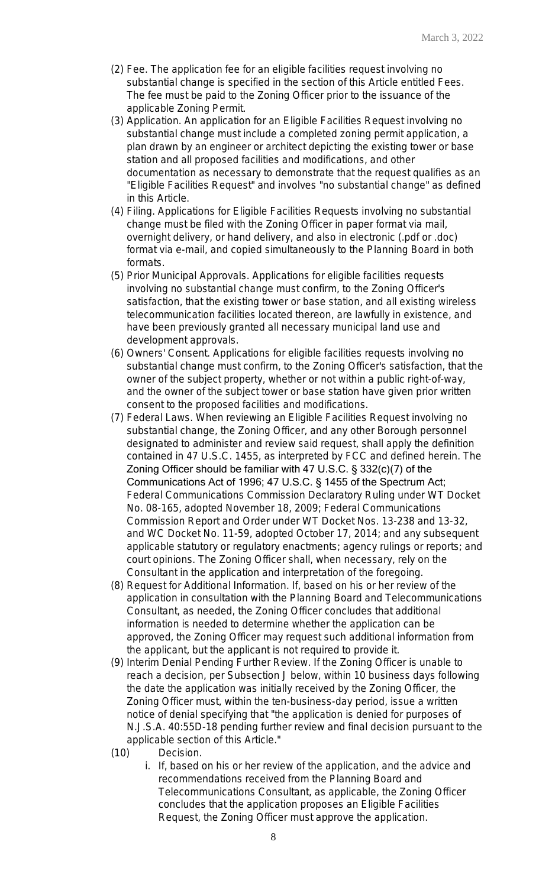- (2) Fee. The application fee for an eligible facilities request involving no substantial change is specified in the section of this Article entitled Fees. The fee must be paid to the Zoning Officer prior to the issuance of the applicable Zoning Permit.
- (3) Application. An application for an Eligible Facilities Request involving no substantial change must include a completed zoning permit application, a plan drawn by an engineer or architect depicting the existing tower or base station and all proposed facilities and modifications, and other documentation as necessary to demonstrate that the request qualifies as an "Eligible Facilities Request" and involves "no substantial change" as defined in this Article.
- (4) Filing. Applications for Eligible Facilities Requests involving no substantial change must be filed with the Zoning Officer in paper format via mail, overnight delivery, or hand delivery, and also in electronic (.pdf or .doc) format via e-mail, and copied simultaneously to the Planning Board in both formats.
- (5) Prior Municipal Approvals. Applications for eligible facilities requests involving no substantial change must confirm, to the Zoning Officer's satisfaction, that the existing tower or base station, and all existing wireless telecommunication facilities located thereon, are lawfully in existence, and have been previously granted all necessary municipal land use and development approvals.
- (6) Owners' Consent. Applications for eligible facilities requests involving no substantial change must confirm, to the Zoning Officer's satisfaction, that the owner of the subject property, whether or not within a public right-of-way, and the owner of the subject tower or base station have given prior written consent to the proposed facilities and modifications.
- (7) Federal Laws. When reviewing an Eligible Facilities Request involving no substantial change, the Zoning Officer, and any other Borough personnel designated to administer and review said request, shall apply the definition contained in 47 U.S.C. 1455, as interpreted by FCC and defined herein. The Zoning Officer should be familiar with 47 U.S.C. § 332(c)(7) of the Communications Act of 1996; 47 U.S.C. § 1455 of the Spectrum Act; Federal Communications Commission Declaratory Ruling under WT Docket No. 08-165, adopted November 18, 2009; Federal Communications Commission Report and Order under WT Docket Nos. 13-238 and 13-32, and WC Docket No. 11-59, adopted October 17, 2014; and any subsequent applicable statutory or regulatory enactments; agency rulings or reports; and court opinions. The Zoning Officer shall, when necessary, rely on the Consultant in the application and interpretation of the foregoing.
- (8) Request for Additional Information. If, based on his or her review of the application in consultation with the Planning Board and Telecommunications Consultant, as needed, the Zoning Officer concludes that additional information is needed to determine whether the application can be approved, the Zoning Officer may request such additional information from the applicant, but the applicant is not required to provide it.
- (9) Interim Denial Pending Further Review. If the Zoning Officer is unable to reach a decision, per Subsection J below, within 10 business days following the date the application was initially received by the Zoning Officer, the Zoning Officer must, within the ten-business-day period, issue a written notice of denial specifying that "the application is denied for purposes of N.J.S.A. 40:55D-18 pending further review and final decision pursuant to the applicable section of this Article."
- (10) Decision.
	- i. If, based on his or her review of the application, and the advice and recommendations received from the Planning Board and Telecommunications Consultant, as applicable, the Zoning Officer concludes that the application proposes an Eligible Facilities Request, the Zoning Officer must approve the application.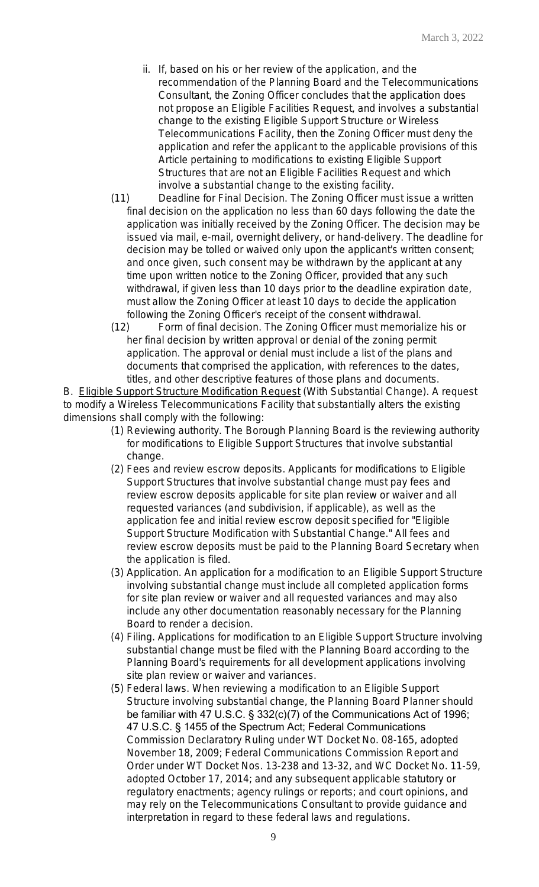- ii. If, based on his or her review of the application, and the recommendation of the Planning Board and the Telecommunications Consultant, the Zoning Officer concludes that the application does not propose an Eligible Facilities Request, and involves a substantial change to the existing Eligible Support Structure or Wireless Telecommunications Facility, then the Zoning Officer must deny the application and refer the applicant to the applicable provisions of this Article pertaining to modifications to existing Eligible Support Structures that are not an Eligible Facilities Request and which involve a substantial change to the existing facility.
- (11) Deadline for Final Decision. The Zoning Officer must issue a written final decision on the application no less than 60 days following the date the application was initially received by the Zoning Officer. The decision may be issued via mail, e-mail, overnight delivery, or hand-delivery. The deadline for decision may be tolled or waived only upon the applicant's written consent; and once given, such consent may be withdrawn by the applicant at any time upon written notice to the Zoning Officer, provided that any such withdrawal, if given less than 10 days prior to the deadline expiration date, must allow the Zoning Officer at least 10 days to decide the application following the Zoning Officer's receipt of the consent withdrawal.
- (12) Form of final decision. The Zoning Officer must memorialize his or her final decision by written approval or denial of the zoning permit application. The approval or denial must include a list of the plans and documents that comprised the application, with references to the dates, titles, and other descriptive features of those plans and documents.

B. Eligible Support Structure Modification Request (With Substantial Change). A request to modify a Wireless Telecommunications Facility that substantially alters the existing dimensions shall comply with the following:

- (1) Reviewing authority. The Borough Planning Board is the reviewing authority for modifications to Eligible Support Structures that involve substantial change.
- (2) Fees and review escrow deposits. Applicants for modifications to Eligible Support Structures that involve substantial change must pay fees and review escrow deposits applicable for site plan review or waiver and all requested variances (and subdivision, if applicable), as well as the application fee and initial review escrow deposit specified for "Eligible Support Structure Modification with Substantial Change." All fees and review escrow deposits must be paid to the Planning Board Secretary when the application is filed.
- (3) Application. An application for a modification to an Eligible Support Structure involving substantial change must include all completed application forms for site plan review or waiver and all requested variances and may also include any other documentation reasonably necessary for the Planning Board to render a decision.
- (4) Filing. Applications for modification to an Eligible Support Structure involving substantial change must be filed with the Planning Board according to the Planning Board's requirements for all development applications involving site plan review or waiver and variances.
- (5) Federal laws. When reviewing a modification to an Eligible Support Structure involving substantial change, the Planning Board Planner should be familiar with 47 U.S.C. § 332(c)(7) of the Communications Act of 1996; 47 U.S.C. § 1455 of the Spectrum Act; Federal Communications Commission Declaratory Ruling under WT Docket No. 08-165, adopted November 18, 2009; Federal Communications Commission Report and Order under WT Docket Nos. 13-238 and 13-32, and WC Docket No. 11-59, adopted October 17, 2014; and any subsequent applicable statutory or regulatory enactments; agency rulings or reports; and court opinions, and may rely on the Telecommunications Consultant to provide guidance and interpretation in regard to these federal laws and regulations.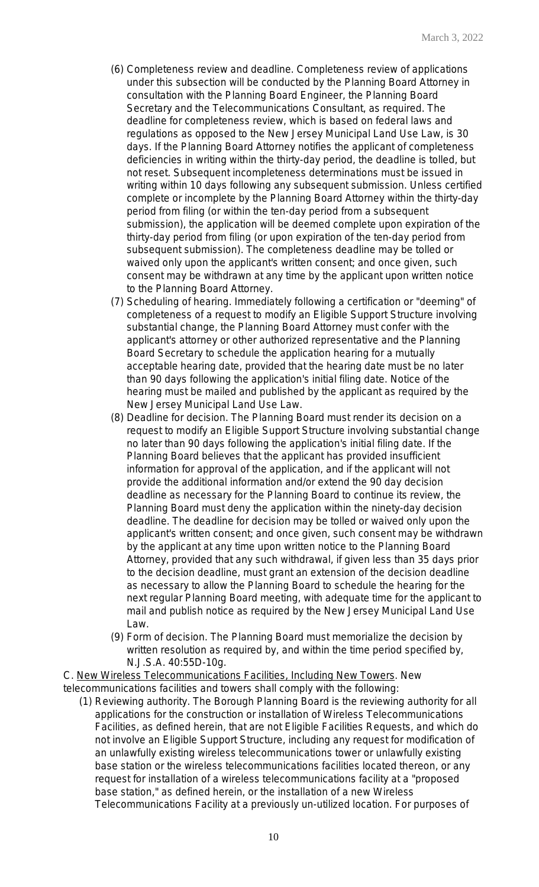- (6) Completeness review and deadline. Completeness review of applications under this subsection will be conducted by the Planning Board Attorney in consultation with the Planning Board Engineer, the Planning Board Secretary and the Telecommunications Consultant, as required. The deadline for completeness review, which is based on federal laws and regulations as opposed to the New Jersey Municipal Land Use Law, is 30 days. If the Planning Board Attorney notifies the applicant of completeness deficiencies in writing within the thirty-day period, the deadline is tolled, but not reset. Subsequent incompleteness determinations must be issued in writing within 10 days following any subsequent submission. Unless certified complete or incomplete by the Planning Board Attorney within the thirty-day period from filing (or within the ten-day period from a subsequent submission), the application will be deemed complete upon expiration of the thirty-day period from filing (or upon expiration of the ten-day period from subsequent submission). The completeness deadline may be tolled or waived only upon the applicant's written consent; and once given, such consent may be withdrawn at any time by the applicant upon written notice to the Planning Board Attorney.
- (7) Scheduling of hearing. Immediately following a certification or "deeming" of completeness of a request to modify an Eligible Support Structure involving substantial change, the Planning Board Attorney must confer with the applicant's attorney or other authorized representative and the Planning Board Secretary to schedule the application hearing for a mutually acceptable hearing date, provided that the hearing date must be no later than 90 days following the application's initial filing date. Notice of the hearing must be mailed and published by the applicant as required by the New Jersey Municipal Land Use Law.
- (8) Deadline for decision. The Planning Board must render its decision on a request to modify an Eligible Support Structure involving substantial change no later than 90 days following the application's initial filing date. If the Planning Board believes that the applicant has provided insufficient information for approval of the application, and if the applicant will not provide the additional information and/or extend the 90 day decision deadline as necessary for the Planning Board to continue its review, the Planning Board must deny the application within the ninety-day decision deadline. The deadline for decision may be tolled or waived only upon the applicant's written consent; and once given, such consent may be withdrawn by the applicant at any time upon written notice to the Planning Board Attorney, provided that any such withdrawal, if given less than 35 days prior to the decision deadline, must grant an extension of the decision deadline as necessary to allow the Planning Board to schedule the hearing for the next regular Planning Board meeting, with adequate time for the applicant to mail and publish notice as required by the New Jersey Municipal Land Use Law.
- (9) Form of decision. The Planning Board must memorialize the decision by written resolution as required by, and within the time period specified by, N.J.S.A. 40:55D-10g.

C. New Wireless Telecommunications Facilities, Including New Towers. New telecommunications facilities and towers shall comply with the following:

(1) Reviewing authority. The Borough Planning Board is the reviewing authority for all applications for the construction or installation of Wireless Telecommunications Facilities, as defined herein, that are not Eligible Facilities Requests, and which do not involve an Eligible Support Structure, including any request for modification of an unlawfully existing wireless telecommunications tower or unlawfully existing base station or the wireless telecommunications facilities located thereon, or any request for installation of a wireless telecommunications facility at a "proposed base station," as defined herein, or the installation of a new Wireless Telecommunications Facility at a previously un-utilized location. For purposes of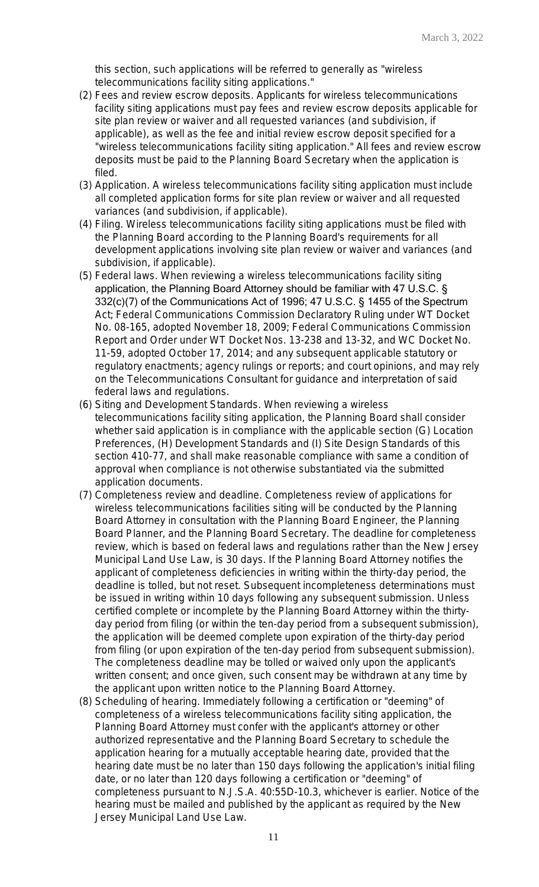this section, such applications will be referred to generally as "wireless telecommunications facility siting applications."

- (2) Fees and review escrow deposits. Applicants for wireless telecommunications facility siting applications must pay fees and review escrow deposits applicable for site plan review or waiver and all requested variances (and subdivision, if applicable), as well as the fee and initial review escrow deposit specified for a "wireless telecommunications facility siting application." All fees and review escrow deposits must be paid to the Planning Board Secretary when the application is filed.
- (3) Application. A wireless telecommunications facility siting application must include all completed application forms for site plan review or waiver and all requested variances (and subdivision, if applicable).
- (4) Filing. Wireless telecommunications facility siting applications must be filed with the Planning Board according to the Planning Board's requirements for all development applications involving site plan review or waiver and variances (and subdivision, if applicable).
- (5) Federal laws. When reviewing a wireless telecommunications facility siting application, the Planning Board Attorney should be familiar with 47 U.S.C. § 332(c)(7) of the Communications Act of 1996; 47 U.S.C. § 1455 of the Spectrum Act; Federal Communications Commission Declaratory Ruling under WT Docket No. 08-165, adopted November 18, 2009; Federal Communications Commission Report and Order under WT Docket Nos. 13-238 and 13-32, and WC Docket No. 11-59, adopted October 17, 2014; and any subsequent applicable statutory or regulatory enactments; agency rulings or reports; and court opinions, and may rely on the Telecommunications Consultant for guidance and interpretation of said federal laws and regulations.
- (6) Siting and Development Standards. When reviewing a wireless telecommunications facility siting application, the Planning Board shall consider whether said application is in compliance with the applicable section (G) Location Preferences, (H) Development Standards and (I) Site Design Standards of this section 410-77, and shall make reasonable compliance with same a condition of approval when compliance is not otherwise substantiated via the submitted application documents.
- (7) Completeness review and deadline. Completeness review of applications for wireless telecommunications facilities siting will be conducted by the Planning Board Attorney in consultation with the Planning Board Engineer, the Planning Board Planner, and the Planning Board Secretary. The deadline for completeness review, which is based on federal laws and regulations rather than the New Jersey Municipal Land Use Law, is 30 days. If the Planning Board Attorney notifies the applicant of completeness deficiencies in writing within the thirty-day period, the deadline is tolled, but not reset. Subsequent incompleteness determinations must be issued in writing within 10 days following any subsequent submission. Unless certified complete or incomplete by the Planning Board Attorney within the thirtyday period from filing (or within the ten-day period from a subsequent submission), the application will be deemed complete upon expiration of the thirty-day period from filing (or upon expiration of the ten-day period from subsequent submission). The completeness deadline may be tolled or waived only upon the applicant's written consent; and once given, such consent may be withdrawn at any time by the applicant upon written notice to the Planning Board Attorney.
- (8) Scheduling of hearing. Immediately following a certification or "deeming" of completeness of a wireless telecommunications facility siting application, the Planning Board Attorney must confer with the applicant's attorney or other authorized representative and the Planning Board Secretary to schedule the application hearing for a mutually acceptable hearing date, provided that the hearing date must be no later than 150 days following the application's initial filing date, or no later than 120 days following a certification or "deeming" of completeness pursuant to N.J.S.A. 40:55D-10.3, whichever is earlier. Notice of the hearing must be mailed and published by the applicant as required by the New Jersey Municipal Land Use Law.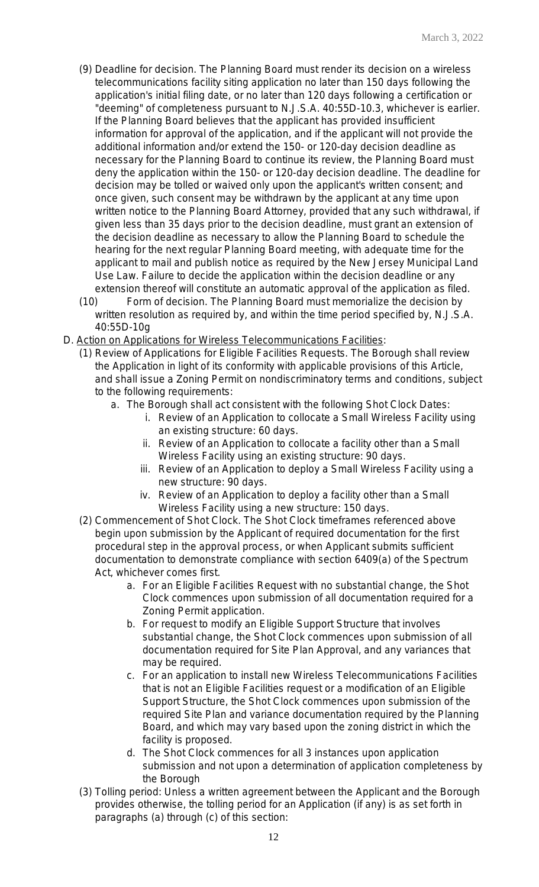- (9) Deadline for decision. The Planning Board must render its decision on a wireless telecommunications facility siting application no later than 150 days following the application's initial filing date, or no later than 120 days following a certification or "deeming" of completeness pursuant to N.J.S.A. 40:55D-10.3, whichever is earlier. If the Planning Board believes that the applicant has provided insufficient information for approval of the application, and if the applicant will not provide the additional information and/or extend the 150- or 120-day decision deadline as necessary for the Planning Board to continue its review, the Planning Board must deny the application within the 150- or 120-day decision deadline. The deadline for decision may be tolled or waived only upon the applicant's written consent; and once given, such consent may be withdrawn by the applicant at any time upon written notice to the Planning Board Attorney, provided that any such withdrawal, if given less than 35 days prior to the decision deadline, must grant an extension of the decision deadline as necessary to allow the Planning Board to schedule the hearing for the next regular Planning Board meeting, with adequate time for the applicant to mail and publish notice as required by the New Jersey Municipal Land Use Law. Failure to decide the application within the decision deadline or any extension thereof will constitute an automatic approval of the application as filed.
- (10) Form of decision. The Planning Board must memorialize the decision by written resolution as required by, and within the time period specified by, N.J.S.A. 40:55D-10g
- D. Action on Applications for Wireless Telecommunications Facilities:
	- (1) Review of Applications for Eligible Facilities Requests. The Borough shall review the Application in light of its conformity with applicable provisions of this Article, and shall issue a Zoning Permit on nondiscriminatory terms and conditions, subject to the following requirements:
		- a. The Borough shall act consistent with the following Shot Clock Dates:
			- i. Review of an Application to collocate a Small Wireless Facility using an existing structure: 60 days.
			- ii. Review of an Application to collocate a facility other than a Small Wireless Facility using an existing structure: 90 days.
			- iii. Review of an Application to deploy a Small Wireless Facility using a new structure: 90 days.
			- iv. Review of an Application to deploy a facility other than a Small Wireless Facility using a new structure: 150 days.
	- (2) Commencement of Shot Clock. The Shot Clock timeframes referenced above begin upon submission by the Applicant of required documentation for the first procedural step in the approval process, or when Applicant submits sufficient documentation to demonstrate compliance with section 6409(a) of the Spectrum Act, whichever comes first.
		- a. For an Eligible Facilities Request with no substantial change, the Shot Clock commences upon submission of all documentation required for a Zoning Permit application.
		- b. For request to modify an Eligible Support Structure that involves substantial change, the Shot Clock commences upon submission of all documentation required for Site Plan Approval, and any variances that may be required.
		- c. For an application to install new Wireless Telecommunications Facilities that is not an Eligible Facilities request or a modification of an Eligible Support Structure, the Shot Clock commences upon submission of the required Site Plan and variance documentation required by the Planning Board, and which may vary based upon the zoning district in which the facility is proposed.
		- d. The Shot Clock commences for all 3 instances upon application submission and not upon a determination of application completeness by the Borough
	- (3) Tolling period: Unless a written agreement between the Applicant and the Borough provides otherwise, the tolling period for an Application (if any) is as set forth in paragraphs (a) through (c) of this section: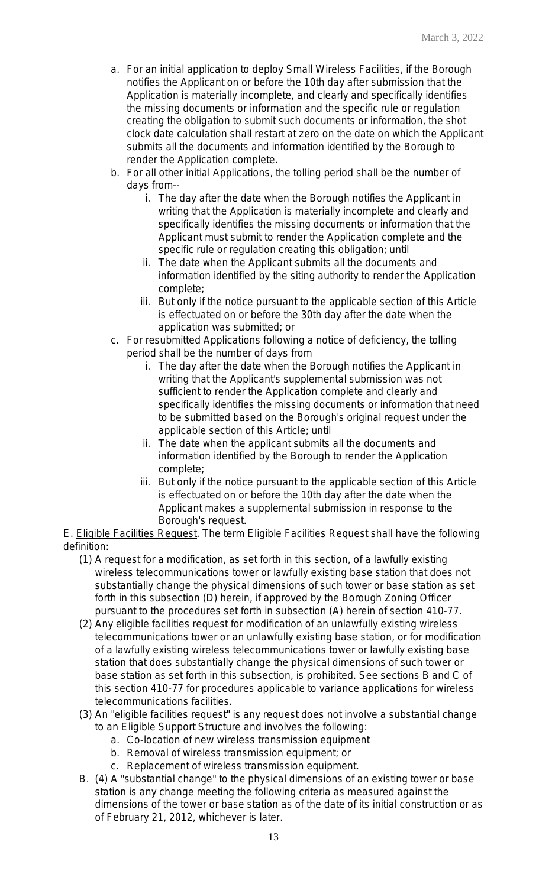- a. For an initial application to deploy Small Wireless Facilities, if the Borough notifies the Applicant on or before the 10th day after submission that the Application is materially incomplete, and clearly and specifically identifies the missing documents or information and the specific rule or regulation creating the obligation to submit such documents or information, the shot clock date calculation shall restart at zero on the date on which the Applicant submits all the documents and information identified by the Borough to render the Application complete.
- b. For all other initial Applications, the tolling period shall be the number of days from-
	- i. The day after the date when the Borough notifies the Applicant in writing that the Application is materially incomplete and clearly and specifically identifies the missing documents or information that the Applicant must submit to render the Application complete and the specific rule or regulation creating this obligation; until
	- ii. The date when the Applicant submits all the documents and information identified by the siting authority to render the Application complete;
	- iii. But only if the notice pursuant to the applicable section of this Article is effectuated on or before the 30th day after the date when the application was submitted; or
- c. For resubmitted Applications following a notice of deficiency, the tolling period shall be the number of days from
	- i. The day after the date when the Borough notifies the Applicant in writing that the Applicant's supplemental submission was not sufficient to render the Application complete and clearly and specifically identifies the missing documents or information that need to be submitted based on the Borough's original request under the applicable section of this Article; until
	- ii. The date when the applicant submits all the documents and information identified by the Borough to render the Application complete;
	- iii. But only if the notice pursuant to the applicable section of this Article is effectuated on or before the 10th day after the date when the Applicant makes a supplemental submission in response to the Borough's request.

E. Eligible Facilities Request. The term Eligible Facilities Request shall have the following definition:

- (1) A request for a modification, as set forth in this section, of a lawfully existing wireless telecommunications tower or lawfully existing base station that does not substantially change the physical dimensions of such tower or base station as set forth in this subsection (D) herein, if approved by the Borough Zoning Officer pursuant to the procedures set forth in subsection (A) herein of section 410-77.
- (2) Any eligible facilities request for modification of an unlawfully existing wireless telecommunications tower or an unlawfully existing base station, or for modification of a lawfully existing wireless telecommunications tower or lawfully existing base station that does substantially change the physical dimensions of such tower or base station as set forth in this subsection, is prohibited. See sections B and C of this section 410-77 for procedures applicable to variance applications for wireless telecommunications facilities.
- (3) An "eligible facilities request" is any request does not involve a substantial change to an Eligible Support Structure and involves the following:
	- a. Co-location of new wireless transmission equipment
	- b. Removal of wireless transmission equipment; or
	- c. Replacement of wireless transmission equipment.
- B. (4) A "substantial change" to the physical dimensions of an existing tower or base station is any change meeting the following criteria as measured against the dimensions of the tower or base station as of the date of its initial construction or as of February 21, 2012, whichever is later.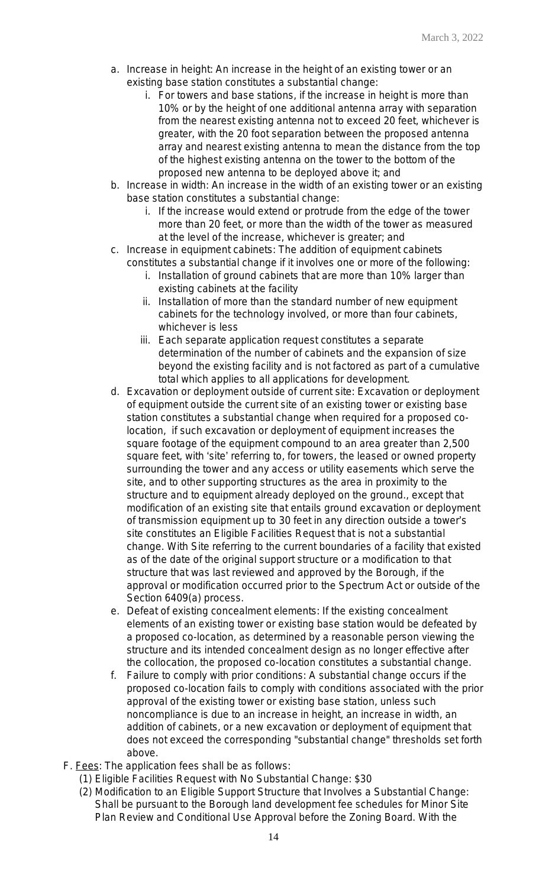- a. Increase in height: An increase in the height of an existing tower or an existing base station constitutes a substantial change:
	- i. For towers and base stations, if the increase in height is more than 10% or by the height of one additional antenna array with separation from the nearest existing antenna not to exceed 20 feet, whichever is greater, with the 20 foot separation between the proposed antenna array and nearest existing antenna to mean the distance from the top of the highest existing antenna on the tower to the bottom of the proposed new antenna to be deployed above it; and
- b. Increase in width: An increase in the width of an existing tower or an existing base station constitutes a substantial change:
	- i. If the increase would extend or protrude from the edge of the tower more than 20 feet, or more than the width of the tower as measured at the level of the increase, whichever is greater; and
- c. Increase in equipment cabinets: The addition of equipment cabinets constitutes a substantial change if it involves one or more of the following:
	- i. Installation of ground cabinets that are more than 10% larger than existing cabinets at the facility
	- ii. Installation of more than the standard number of new equipment cabinets for the technology involved, or more than four cabinets, whichever is less
	- iii. Each separate application request constitutes a separate determination of the number of cabinets and the expansion of size beyond the existing facility and is not factored as part of a cumulative total which applies to all applications for development.
- d. Excavation or deployment outside of current site: Excavation or deployment of equipment outside the current site of an existing tower or existing base station constitutes a substantial change when required for a proposed colocation, if such excavation or deployment of equipment increases the square footage of the equipment compound to an area greater than 2,500 square feet, with 'site' referring to, for towers, the leased or owned property surrounding the tower and any access or utility easements which serve the site, and to other supporting structures as the area in proximity to the structure and to equipment already deployed on the ground., except that modification of an existing site that entails ground excavation or deployment of transmission equipment up to 30 feet in any direction outside a tower's site constitutes an Eligible Facilities Request that is not a substantial change. With Site referring to the current boundaries of a facility that existed as of the date of the original support structure or a modification to that structure that was last reviewed and approved by the Borough, if the approval or modification occurred prior to the Spectrum Act or outside of the Section 6409(a) process.
- e. Defeat of existing concealment elements: If the existing concealment elements of an existing tower or existing base station would be defeated by a proposed co-location, as determined by a reasonable person viewing the structure and its intended concealment design as no longer effective after the collocation, the proposed co-location constitutes a substantial change.
- f. Failure to comply with prior conditions: A substantial change occurs if the proposed co-location fails to comply with conditions associated with the prior approval of the existing tower or existing base station, unless such noncompliance is due to an increase in height, an increase in width, an addition of cabinets, or a new excavation or deployment of equipment that does not exceed the corresponding "substantial change" thresholds set forth above.
- F. Fees: The application fees shall be as follows:
	- (1) Eligible Facilities Request with No Substantial Change: \$30
	- (2) Modification to an Eligible Support Structure that Involves a Substantial Change: Shall be pursuant to the Borough land development fee schedules for Minor Site Plan Review and Conditional Use Approval before the Zoning Board. With the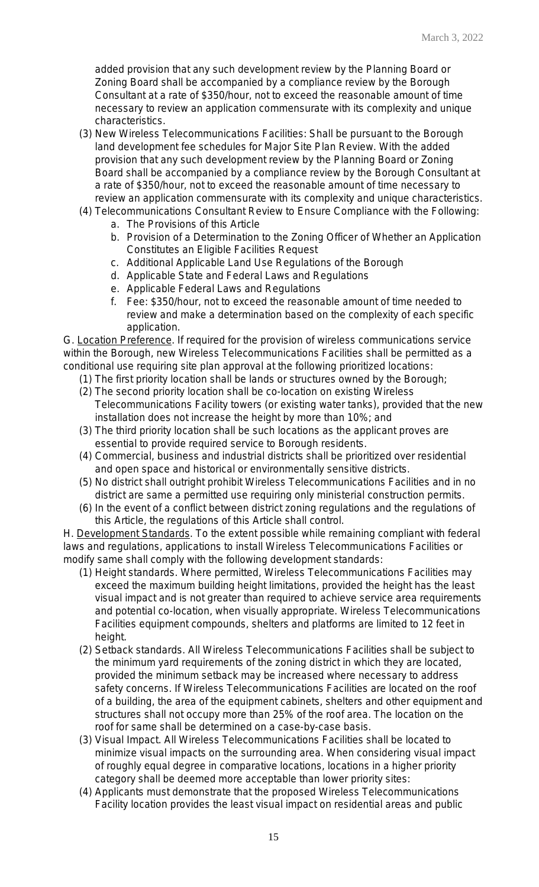added provision that any such development review by the Planning Board or Zoning Board shall be accompanied by a compliance review by the Borough Consultant at a rate of \$350/hour, not to exceed the reasonable amount of time necessary to review an application commensurate with its complexity and unique characteristics.

- (3) New Wireless Telecommunications Facilities: Shall be pursuant to the Borough land development fee schedules for Major Site Plan Review. With the added provision that any such development review by the Planning Board or Zoning Board shall be accompanied by a compliance review by the Borough Consultant at a rate of \$350/hour, not to exceed the reasonable amount of time necessary to review an application commensurate with its complexity and unique characteristics.
- (4) Telecommunications Consultant Review to Ensure Compliance with the Following:
	- a. The Provisions of this Article
	- b. Provision of a Determination to the Zoning Officer of Whether an Application Constitutes an Eligible Facilities Request
	- c. Additional Applicable Land Use Regulations of the Borough
	- d. Applicable State and Federal Laws and Regulations
	- e. Applicable Federal Laws and Regulations
	- f. Fee: \$350/hour, not to exceed the reasonable amount of time needed to review and make a determination based on the complexity of each specific application.

G. Location Preference. If required for the provision of wireless communications service within the Borough, new Wireless Telecommunications Facilities shall be permitted as a conditional use requiring site plan approval at the following prioritized locations:

- (1) The first priority location shall be lands or structures owned by the Borough;
- (2) The second priority location shall be co-location on existing Wireless Telecommunications Facility towers (or existing water tanks), provided that the new installation does not increase the height by more than 10%; and
- (3) The third priority location shall be such locations as the applicant proves are essential to provide required service to Borough residents.
- (4) Commercial, business and industrial districts shall be prioritized over residential and open space and historical or environmentally sensitive districts.
- (5) No district shall outright prohibit Wireless Telecommunications Facilities and in no district are same a permitted use requiring only ministerial construction permits.
- (6) In the event of a conflict between district zoning regulations and the regulations of this Article, the regulations of this Article shall control.

H. Development Standards. To the extent possible while remaining compliant with federal laws and regulations, applications to install Wireless Telecommunications Facilities or modify same shall comply with the following development standards:

- (1) Height standards. Where permitted, Wireless Telecommunications Facilities may exceed the maximum building height limitations, provided the height has the least visual impact and is not greater than required to achieve service area requirements and potential co-location, when visually appropriate. Wireless Telecommunications Facilities equipment compounds, shelters and platforms are limited to 12 feet in height.
- (2) Setback standards. All Wireless Telecommunications Facilities shall be subject to the minimum yard requirements of the zoning district in which they are located, provided the minimum setback may be increased where necessary to address safety concerns. If Wireless Telecommunications Facilities are located on the roof of a building, the area of the equipment cabinets, shelters and other equipment and structures shall not occupy more than 25% of the roof area. The location on the roof for same shall be determined on a case-by-case basis.
- (3) Visual Impact. All Wireless Telecommunications Facilities shall be located to minimize visual impacts on the surrounding area. When considering visual impact of roughly equal degree in comparative locations, locations in a higher priority category shall be deemed more acceptable than lower priority sites:
- (4) Applicants must demonstrate that the proposed Wireless Telecommunications Facility location provides the least visual impact on residential areas and public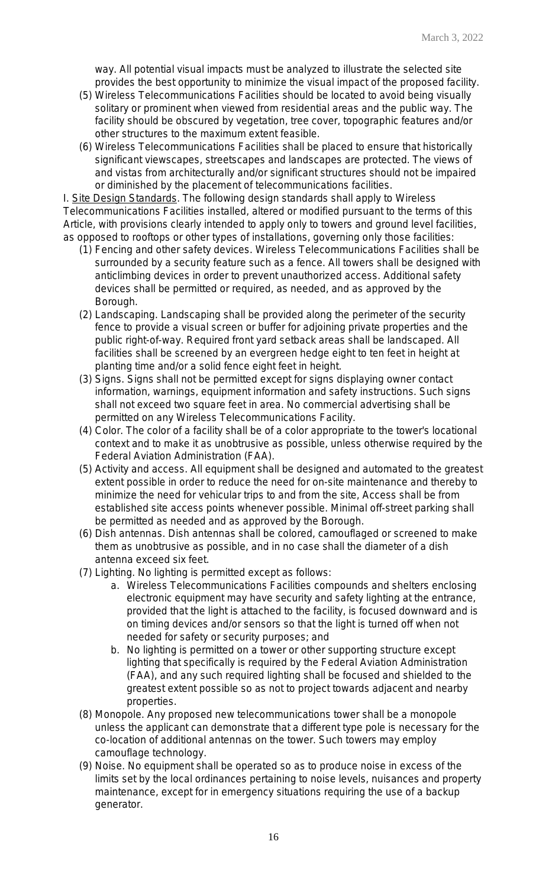way. All potential visual impacts must be analyzed to illustrate the selected site provides the best opportunity to minimize the visual impact of the proposed facility.

- (5) Wireless Telecommunications Facilities should be located to avoid being visually solitary or prominent when viewed from residential areas and the public way. The facility should be obscured by vegetation, tree cover, topographic features and/or other structures to the maximum extent feasible.
- (6) Wireless Telecommunications Facilities shall be placed to ensure that historically significant viewscapes, streetscapes and landscapes are protected. The views of and vistas from architecturally and/or significant structures should not be impaired or diminished by the placement of telecommunications facilities.

I. Site Design Standards. The following design standards shall apply to Wireless Telecommunications Facilities installed, altered or modified pursuant to the terms of this Article, with provisions clearly intended to apply only to towers and ground level facilities, as opposed to rooftops or other types of installations, governing only those facilities:

- (1) Fencing and other safety devices. Wireless Telecommunications Facilities shall be surrounded by a security feature such as a fence. All towers shall be designed with anticlimbing devices in order to prevent unauthorized access. Additional safety devices shall be permitted or required, as needed, and as approved by the Borough.
- (2) Landscaping. Landscaping shall be provided along the perimeter of the security fence to provide a visual screen or buffer for adjoining private properties and the public right-of-way. Required front yard setback areas shall be landscaped. All facilities shall be screened by an evergreen hedge eight to ten feet in height at planting time and/or a solid fence eight feet in height.
- (3) Signs. Signs shall not be permitted except for signs displaying owner contact information, warnings, equipment information and safety instructions. Such signs shall not exceed two square feet in area. No commercial advertising shall be permitted on any Wireless Telecommunications Facility.
- (4) Color. The color of a facility shall be of a color appropriate to the tower's locational context and to make it as unobtrusive as possible, unless otherwise required by the Federal Aviation Administration (FAA).
- (5) Activity and access. All equipment shall be designed and automated to the greatest extent possible in order to reduce the need for on-site maintenance and thereby to minimize the need for vehicular trips to and from the site, Access shall be from established site access points whenever possible. Minimal off-street parking shall be permitted as needed and as approved by the Borough.
- (6) Dish antennas. Dish antennas shall be colored, camouflaged or screened to make them as unobtrusive as possible, and in no case shall the diameter of a dish antenna exceed six feet.
- (7) Lighting. No lighting is permitted except as follows:
	- a. Wireless Telecommunications Facilities compounds and shelters enclosing electronic equipment may have security and safety lighting at the entrance, provided that the light is attached to the facility, is focused downward and is on timing devices and/or sensors so that the light is turned off when not needed for safety or security purposes; and
	- b. No lighting is permitted on a tower or other supporting structure except lighting that specifically is required by the Federal Aviation Administration (FAA), and any such required lighting shall be focused and shielded to the greatest extent possible so as not to project towards adjacent and nearby properties.
- (8) Monopole. Any proposed new telecommunications tower shall be a monopole unless the applicant can demonstrate that a different type pole is necessary for the co-location of additional antennas on the tower. Such towers may employ camouflage technology.
- (9) Noise. No equipment shall be operated so as to produce noise in excess of the limits set by the local ordinances pertaining to noise levels, nuisances and property maintenance, except for in emergency situations requiring the use of a backup generator.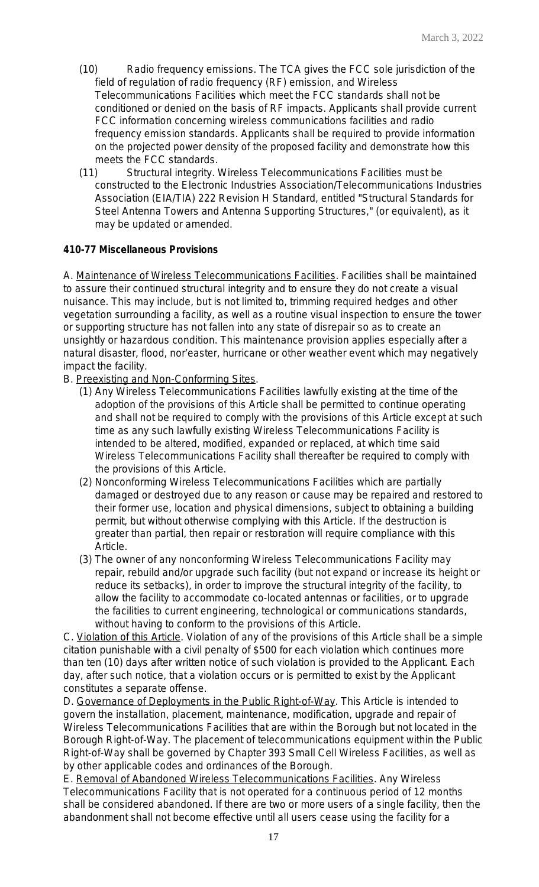- (10) Radio frequency emissions. The TCA gives the FCC sole jurisdiction of the field of regulation of radio frequency (RF) emission, and Wireless Telecommunications Facilities which meet the FCC standards shall not be conditioned or denied on the basis of RF impacts. Applicants shall provide current FCC information concerning wireless communications facilities and radio frequency emission standards. Applicants shall be required to provide information on the projected power density of the proposed facility and demonstrate how this meets the FCC standards.
- (11) Structural integrity. Wireless Telecommunications Facilities must be constructed to the Electronic Industries Association/Telecommunications Industries Association (EIA/TIA) 222 Revision H Standard, entitled "Structural Standards for Steel Antenna Towers and Antenna Supporting Structures," (or equivalent), as it may be updated or amended.

# **410-77 Miscellaneous Provisions**

A. Maintenance of Wireless Telecommunications Facilities. Facilities shall be maintained to assure their continued structural integrity and to ensure they do not create a visual nuisance. This may include, but is not limited to, trimming required hedges and other vegetation surrounding a facility, as well as a routine visual inspection to ensure the tower or supporting structure has not fallen into any state of disrepair so as to create an unsightly or hazardous condition. This maintenance provision applies especially after a natural disaster, flood, nor'easter, hurricane or other weather event which may negatively impact the facility.

- B. Preexisting and Non-Conforming Sites.
	- (1) Any Wireless Telecommunications Facilities lawfully existing at the time of the adoption of the provisions of this Article shall be permitted to continue operating and shall not be required to comply with the provisions of this Article except at such time as any such lawfully existing Wireless Telecommunications Facility is intended to be altered, modified, expanded or replaced, at which time said Wireless Telecommunications Facility shall thereafter be required to comply with the provisions of this Article.
	- (2) Nonconforming Wireless Telecommunications Facilities which are partially damaged or destroyed due to any reason or cause may be repaired and restored to their former use, location and physical dimensions, subject to obtaining a building permit, but without otherwise complying with this Article. If the destruction is greater than partial, then repair or restoration will require compliance with this Article.
	- (3) The owner of any nonconforming Wireless Telecommunications Facility may repair, rebuild and/or upgrade such facility (but not expand or increase its height or reduce its setbacks), in order to improve the structural integrity of the facility, to allow the facility to accommodate co-located antennas or facilities, or to upgrade the facilities to current engineering, technological or communications standards, without having to conform to the provisions of this Article.

C. Violation of this Article. Violation of any of the provisions of this Article shall be a simple citation punishable with a civil penalty of \$500 for each violation which continues more than ten (10) days after written notice of such violation is provided to the Applicant. Each day, after such notice, that a violation occurs or is permitted to exist by the Applicant constitutes a separate offense.

D. Governance of Deployments in the Public Right-of-Way. This Article is intended to govern the installation, placement, maintenance, modification, upgrade and repair of Wireless Telecommunications Facilities that are within the Borough but not located in the Borough Right-of-Way. The placement of telecommunications equipment within the Public Right-of-Way shall be governed by Chapter 393 Small Cell Wireless Facilities, as well as by other applicable codes and ordinances of the Borough.

E. Removal of Abandoned Wireless Telecommunications Facilities. Any Wireless Telecommunications Facility that is not operated for a continuous period of 12 months shall be considered abandoned. If there are two or more users of a single facility, then the abandonment shall not become effective until all users cease using the facility for a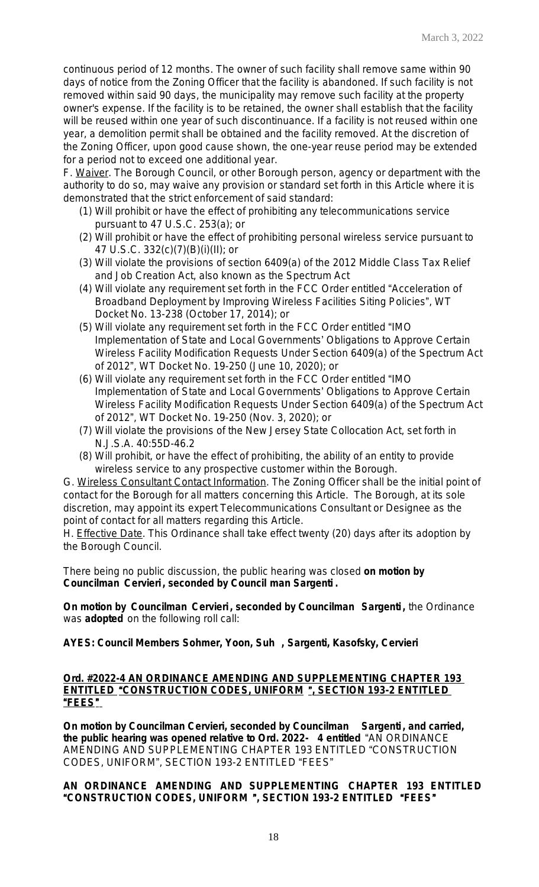continuous period of 12 months. The owner of such facility shall remove same within 90 days of notice from the Zoning Officer that the facility is abandoned. If such facility is not removed within said 90 days, the municipality may remove such facility at the property owner's expense. If the facility is to be retained, the owner shall establish that the facility will be reused within one year of such discontinuance. If a facility is not reused within one year, a demolition permit shall be obtained and the facility removed. At the discretion of the Zoning Officer, upon good cause shown, the one-year reuse period may be extended for a period not to exceed one additional year.

F. Waiver. The Borough Council, or other Borough person, agency or department with the authority to do so, may waive any provision or standard set forth in this Article where it is demonstrated that the strict enforcement of said standard:

- (1) Will prohibit or have the effect of prohibiting any telecommunications service pursuant to 47 U.S.C. 253(a); or
- (2) Will prohibit or have the effect of prohibiting personal wireless service pursuant to 47 U.S.C. 332(c)(7)(B)(i)(II); or
- (3) Will violate the provisions of section 6409(a) of the 2012 Middle Class Tax Relief and Job Creation Act, also known as the Spectrum Act
- (4) Will violate any requirement set forth in the FCC Order entitled "Acceleration of Broadband Deployment by Improving Wireless Facilities Siting Policies", WT Docket No. 13-238 (October 17, 2014); or
- (5) Will violate any requirement set forth in the FCC Order entitled "IMO Implementation of State and Local Governments' Obligations to Approve Certain Wireless Facility Modification Requests Under Section 6409(a) of the Spectrum Act of 2012", WT Docket No. 19-250 (June 10, 2020); or
- (6) Will violate any requirement set forth in the FCC Order entitled "IMO Implementation of State and Local Governments' Obligations to Approve Certain Wireless Facility Modification Requests Under Section 6409(a) of the Spectrum Act of 2012", WT Docket No. 19-250 (Nov. 3, 2020); or
- (7) Will violate the provisions of the New Jersey State Collocation Act, set forth in N.J.S.A. 40:55D-46.2
- (8) Will prohibit, or have the effect of prohibiting, the ability of an entity to provide wireless service to any prospective customer within the Borough.

G. Wireless Consultant Contact Information. The Zoning Officer shall be the initial point of contact for the Borough for all matters concerning this Article. The Borough, at its sole discretion, may appoint its expert Telecommunications Consultant or Designee as the point of contact for all matters regarding this Article.

H. Effective Date. This Ordinance shall take effect twenty (20) days after its adoption by the Borough Council.

There being no public discussion, the public hearing was closed **on motion by Councilman Cervieri , seconded by Council man Sargenti .**

**On motion by Councilman Cervieri , seconded by Councilman Sargenti ,** the Ordinance was **adopted** on the following roll call:

**AYES: Council Members Sohmer, Yoon, Suh , Sargenti, Kasofsky, Cervieri**

# **Ord. #2022-4 AN ORDINANCE AMENDING AND SUPPLEMENTING CHAPTER 193 ENTITLED** "**CONSTRUCTION CODES, UNIFORM** "**, SECTION 193-2 ENTITLED**  "**FEES**"

**On motion by Councilman Cervieri, seconded by Councilman Sargenti , and carried, the public hearing was opened relative to Ord. 2022- 4 entitled** "AN ORDINANCE AMENDING AND SUPPLEMENTING CHAPTER 193 ENTITLED "CONSTRUCTION CODES, UNIFORM", SECTION 193-2 ENTITLED "FEES"

# **AN ORDINANCE AMENDING AND SUPPLEMENTING CHAPTER 193 ENTITLED** "**CONSTRUCTION CODES, UNIFORM** "**, SECTION 193-2 ENTITLED** "**FEES**"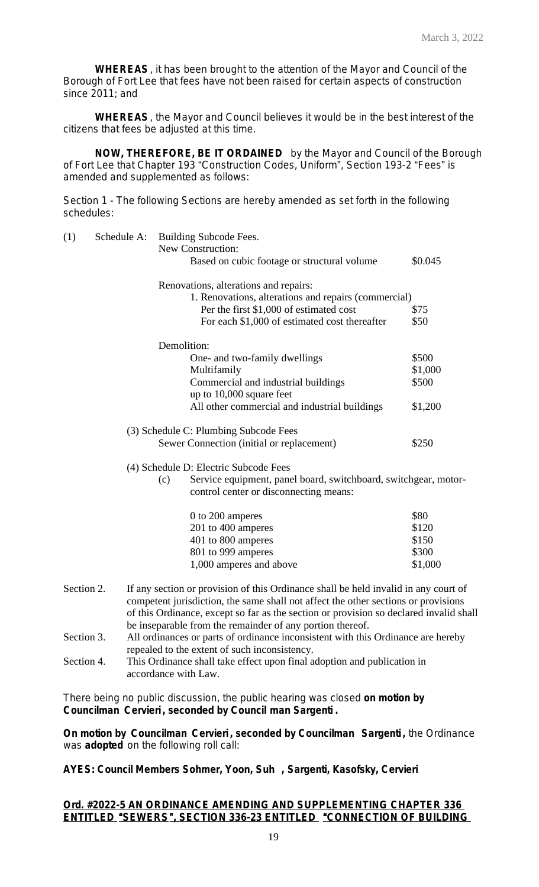**WHEREAS**, it has been brought to the attention of the Mayor and Council of the Borough of Fort Lee that fees have not been raised for certain aspects of construction since 2011; and

**WHEREAS**, the Mayor and Council believes it would be in the best interest of the citizens that fees be adjusted at this time.

**NOW, THEREFORE, BE IT ORDAINED** by the Mayor and Council of the Borough of Fort Lee that Chapter 193 "Construction Codes, Uniform", Section 193-2 "Fees" is amended and supplemented as follows:

Section 1 - The following Sections are hereby amended as set forth in the following schedules:

| (1)        | Schedule A: |     | Building Subcode Fees.                                                                                                                                                                                                                                                                                                           |         |
|------------|-------------|-----|----------------------------------------------------------------------------------------------------------------------------------------------------------------------------------------------------------------------------------------------------------------------------------------------------------------------------------|---------|
|            |             |     | New Construction:                                                                                                                                                                                                                                                                                                                |         |
|            |             |     | Based on cubic footage or structural volume                                                                                                                                                                                                                                                                                      | \$0.045 |
|            |             |     | Renovations, alterations and repairs:                                                                                                                                                                                                                                                                                            |         |
|            |             |     | 1. Renovations, alterations and repairs (commercial)                                                                                                                                                                                                                                                                             |         |
|            |             |     | Per the first \$1,000 of estimated cost                                                                                                                                                                                                                                                                                          | \$75    |
|            |             |     | For each \$1,000 of estimated cost thereafter                                                                                                                                                                                                                                                                                    | \$50    |
|            |             |     | Demolition:                                                                                                                                                                                                                                                                                                                      |         |
|            |             |     | One- and two-family dwellings                                                                                                                                                                                                                                                                                                    | \$500   |
|            |             |     | Multifamily                                                                                                                                                                                                                                                                                                                      | \$1,000 |
|            |             |     | Commercial and industrial buildings                                                                                                                                                                                                                                                                                              | \$500   |
|            |             |     | up to 10,000 square feet                                                                                                                                                                                                                                                                                                         |         |
|            |             |     | All other commercial and industrial buildings                                                                                                                                                                                                                                                                                    | \$1,200 |
|            |             |     | (3) Schedule C: Plumbing Subcode Fees                                                                                                                                                                                                                                                                                            |         |
|            |             |     | Sewer Connection (initial or replacement)                                                                                                                                                                                                                                                                                        | \$250   |
|            |             |     | (4) Schedule D: Electric Subcode Fees                                                                                                                                                                                                                                                                                            |         |
|            |             | (c) | Service equipment, panel board, switchboard, switchgear, motor-<br>control center or disconnecting means:                                                                                                                                                                                                                        |         |
|            |             |     | 0 to 200 amperes                                                                                                                                                                                                                                                                                                                 | \$80    |
|            |             |     | 201 to 400 amperes                                                                                                                                                                                                                                                                                                               | \$120   |
|            |             |     | 401 to 800 amperes                                                                                                                                                                                                                                                                                                               | \$150   |
|            |             |     | 801 to 999 amperes                                                                                                                                                                                                                                                                                                               | \$300   |
|            |             |     | 1,000 amperes and above                                                                                                                                                                                                                                                                                                          | \$1,000 |
| Section 2. |             |     | If any section or provision of this Ordinance shall be held invalid in any court of<br>competent jurisdiction, the same shall not affect the other sections or provisions<br>of this Ordinance, except so far as the section or provision so declared invalid shall<br>be inseparable from the remainder of any portion thereof. |         |
| Section 3. |             |     | All ordinances or parts of ordinance inconsistent with this Ordinance are hereby<br>repealed to the extent of such inconsistency.                                                                                                                                                                                                |         |
| Section 4. |             |     | This Ordinance shall take effect upon final adoption and publication in<br>accordance with Law.                                                                                                                                                                                                                                  |         |

There being no public discussion, the public hearing was closed **on motion by Councilman Cervieri , seconded by Council man Sargenti .**

**On motion by Councilman Cervieri , seconded by Councilman Sargenti ,** the Ordinance was **adopted** on the following roll call:

**AYES: Council Members Sohmer, Yoon, Suh , Sargenti, Kasofsky, Cervieri**

# **Ord. #2022-5 AN ORDINANCE AMENDING AND SUPPLEMENTING CHAPTER 336 ENTITLED** "**SEWERS**"**, SECTION 336-23 ENTITLED** "**CONNECTION OF BUILDING**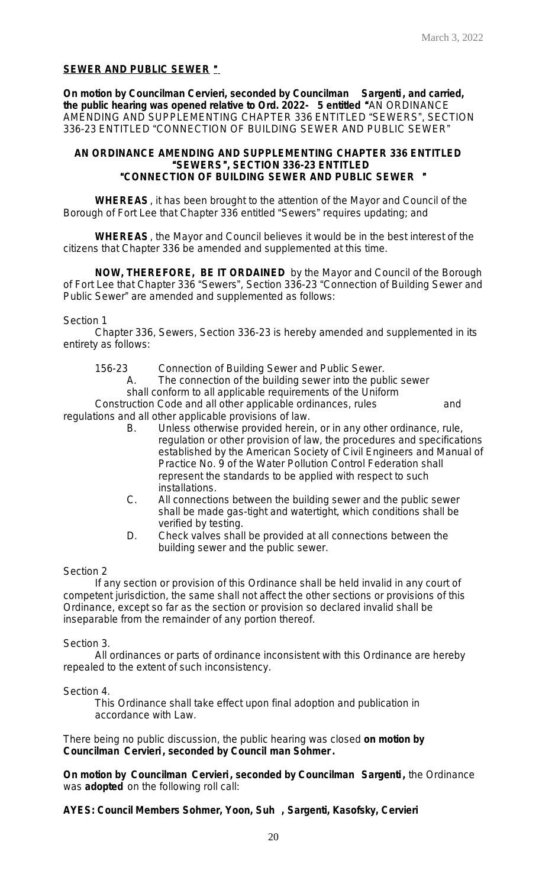# **SEWER AND PUBLIC SEWER** "

**On motion by Councilman Cervieri, seconded by Councilman Sargenti , and carried, the public hearing was opened relative to Ord. 2022- 5 entitled** "AN ORDINANCE AMENDING AND SUPPLEMENTING CHAPTER 336 ENTITLED "SEWERS", SECTION 336-23 ENTITLED "CONNECTION OF BUILDING SEWER AND PUBLIC SEWER"

#### **AN ORDINANCE AMENDING AND SUPPLEMENTING CHAPTER 336 ENTITLED** "**SEWERS**"**, SECTION 336-23 ENTITLED** "**CONNECTION OF BUILDING SEWER AND PUBLIC SEWER** "

**WHEREAS**, it has been brought to the attention of the Mayor and Council of the Borough of Fort Lee that Chapter 336 entitled "Sewers" requires updating; and

**WHEREAS**, the Mayor and Council believes it would be in the best interest of the citizens that Chapter 336 be amended and supplemented at this time.

**NOW, THEREFORE, BE IT ORDAINED** by the Mayor and Council of the Borough of Fort Lee that Chapter 336 "Sewers", Section 336-23 "Connection of Building Sewer and Public Sewer" are amended and supplemented as follows:

#### Section 1

Chapter 336, Sewers, Section 336-23 is hereby amended and supplemented in its entirety as follows:

156-23 Connection of Building Sewer and Public Sewer.

A. The connection of the building sewer into the public sewer shall conform to all applicable requirements of the Uniform

Construction Code and all other applicable ordinances, rules and regulations and all other applicable provisions of law.

- B. Unless otherwise provided herein, or in any other ordinance, rule, regulation or other provision of law, the procedures and specifications established by the American Society of Civil Engineers and Manual of Practice No. 9 of the Water Pollution Control Federation shall represent the standards to be applied with respect to such installations.
- C. All connections between the building sewer and the public sewer shall be made gas-tight and watertight, which conditions shall be verified by testing.
- D. Check valves shall be provided at all connections between the building sewer and the public sewer.

#### Section 2

If any section or provision of this Ordinance shall be held invalid in any court of competent jurisdiction, the same shall not affect the other sections or provisions of this Ordinance, except so far as the section or provision so declared invalid shall be inseparable from the remainder of any portion thereof.

Section 3.

All ordinances or parts of ordinance inconsistent with this Ordinance are hereby repealed to the extent of such inconsistency.

Section 4.

This Ordinance shall take effect upon final adoption and publication in accordance with Law.

There being no public discussion, the public hearing was closed **on motion by Councilman Cervieri , seconded by Council man Sohmer .**

**On motion by Councilman Cervieri , seconded by Councilman Sargenti ,** the Ordinance was **adopted** on the following roll call:

**AYES: Council Members Sohmer, Yoon, Suh , Sargenti, Kasofsky, Cervieri**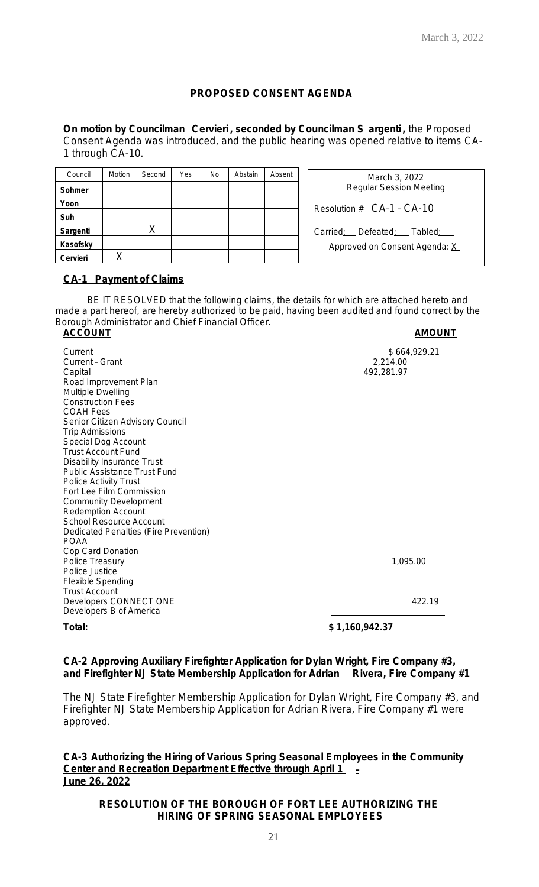# **PROPOSED CONSENT AGENDA**

**On motion by Councilman Cervieri , seconded by Councilman S argenti,** the Proposed Consent Agenda was introduced, and the public hearing was opened relative to items CA-1 through CA-10.

| Council  | Motion | Second | Yes | <b>No</b> | Abstain | Absent |
|----------|--------|--------|-----|-----------|---------|--------|
| Sohmer   |        |        |     |           |         |        |
| Yoon     |        |        |     |           |         |        |
| Suh      |        |        |     |           |         |        |
| Sargenti |        |        |     |           |         |        |
| Kasofsky |        |        |     |           |         |        |
| Cervieri |        |        |     |           |         |        |

| March 3, 2022<br><b>Regular Session Meeting</b>             |  |  |  |  |  |  |
|-------------------------------------------------------------|--|--|--|--|--|--|
| Resolution $# C A-1 - CA-10$                                |  |  |  |  |  |  |
| Carried: Defeated: Tabled:<br>Approved on Consent Agenda: X |  |  |  |  |  |  |

# **CA-1 Payment of Claims**

BE IT RESOLVED that the following claims, the details for which are attached hereto and made a part hereof, are hereby authorized to be paid, having been audited and found correct by the Borough Administrator and Chief Financial Officer. **ACCOUNT AMOUNT**

Current \$ 664,929.21<br>
Current - Grant \$ 664,929.21 Current - Grant<br>Capital Road Improvement Plan Multiple Dwelling Construction Fees COAH Fees Senior Citizen Advisory Council Trip Admissions Special Dog Account Trust Account Fund Disability Insurance Trust Public Assistance Trust Fund Police Activity Trust Fort Lee Film Commission Community Development Redemption Account School Resource Account Dedicated Penalties (Fire Prevention) POAA Cop Card Donation Police Treasury 1,095.00 Police Justice Flexible Spending Trust Account Developers CONNECT ONE 422.19 Developers B of America

Capital 492,281.97

**Total: \$ 1,160,942.37**

# **CA-2 Approving Auxiliary Firefighter Application for Dylan Wright, Fire Company #3, and Firefighter NJ State Membership Application for Adrian Rivera, Fire Company #1**

The NJ State Firefighter Membership Application for Dylan Wright, Fire Company #3, and Firefighter NJ State Membership Application for Adrian Rivera, Fire Company #1 were approved.

**CA-3 Authorizing the Hiring of Various Spring Seasonal Employees in the Community Center and Recreation Department Effective through April 1** – **June 26, 2022**

# **RESOLUTION OF THE BOROUGH OF FORT LEE AUTHORIZING THE HIRING OF SPRING SEASONAL EMPLOYEES**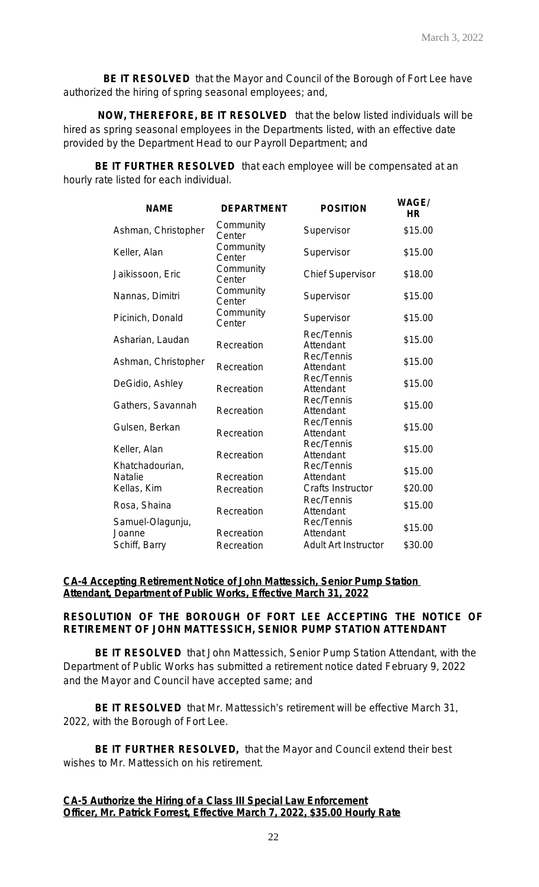**BE IT RESOLVED** that the Mayor and Council of the Borough of Fort Lee have authorized the hiring of spring seasonal employees; and,

 **NOW, THEREFORE, BE IT RESOLVED** that the below listed individuals will be hired as spring seasonal employees in the Departments listed, with an effective date provided by the Department Head to our Payroll Department; and

**BE IT FURTHER RESOLVED** that each employee will be compensated at an hourly rate listed for each individual.

| <b>NAME</b>                | <b>DEPARTMENT</b>   | <b>POSITION</b>             | <b>WAGE/</b><br><b>HR</b> |
|----------------------------|---------------------|-----------------------------|---------------------------|
| Ashman, Christopher        | Community<br>Center | Supervisor                  | \$15.00                   |
| Keller, Alan               | Community<br>Center | Supervisor                  | \$15.00                   |
| Jaikissoon, Eric           | Community<br>Center | <b>Chief Supervisor</b>     | \$18.00                   |
| Nannas, Dimitri            | Community<br>Center | Supervisor                  | \$15.00                   |
| Picinich, Donald           | Community<br>Center | Supervisor                  | \$15.00                   |
| Asharian, Laudan           | Recreation          | Rec/Tennis<br>Attendant     | \$15.00                   |
| Ashman, Christopher        | Recreation          | Rec/Tennis<br>Attendant     | \$15.00                   |
| DeGidio, Ashley            | Recreation          | Rec/Tennis<br>Attendant     | \$15.00                   |
| Gathers, Savannah          | Recreation          | Rec/Tennis<br>Attendant     | \$15.00                   |
| Gulsen, Berkan             | Recreation          | Rec/Tennis<br>Attendant     | \$15.00                   |
| Keller, Alan               | Recreation          | Rec/Tennis<br>Attendant     | \$15.00                   |
| Khatchadourian,<br>Natalie | Recreation          | Rec/Tennis<br>Attendant     | \$15.00                   |
| Kellas, Kim                | Recreation          | Crafts Instructor           | \$20.00                   |
| Rosa, Shaina               | Recreation          | Rec/Tennis<br>Attendant     | \$15.00                   |
| Samuel-Olagunju,<br>Joanne | Recreation          | Rec/Tennis<br>Attendant     | \$15.00                   |
| Schiff, Barry              | Recreation          | <b>Adult Art Instructor</b> | \$30.00                   |

# **CA-4 Accepting Retirement Notice of John Mattessich, Senior Pump Station Attendant, Department of Public Works, Effective March 31, 2022**

# **RESOLUTION OF THE BOROUGH OF FORT LEE ACCEPTING THE NOTICE OF RETIREMENT OF JOHN MATTESSICH, SENIOR PUMP STATION ATTENDANT**

**BE IT RESOLVED** that John Mattessich, Senior Pump Station Attendant, with the Department of Public Works has submitted a retirement notice dated February 9, 2022 and the Mayor and Council have accepted same; and

**BE IT RESOLVED** that Mr. Mattessich's retirement will be effective March 31, 2022, with the Borough of Fort Lee.

**BE IT FURTHER RESOLVED,** that the Mayor and Council extend their best wishes to Mr. Mattessich on his retirement.

# **CA-5 Authorize the Hiring of a Class III Special Law Enforcement Officer, Mr. Patrick Forrest, Effective March 7, 2022, \$35.00 Hourly Rate**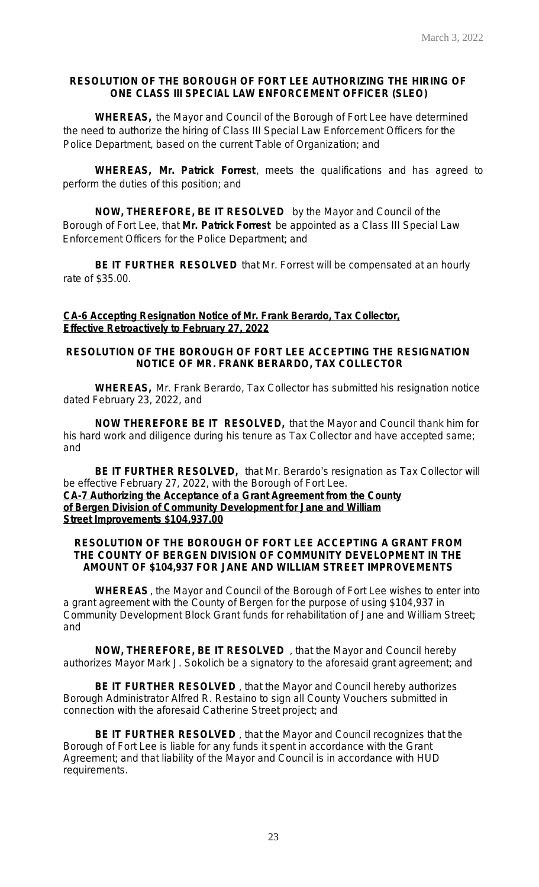# **RESOLUTION OF THE BOROUGH OF FORT LEE AUTHORIZING THE HIRING OF ONE CLASS III SPECIAL LAW ENFORCEMENT OFFICER (SLEO)**

**WHEREAS,** the Mayor and Council of the Borough of Fort Lee have determined the need to authorize the hiring of Class III Special Law Enforcement Officers for the Police Department, based on the current Table of Organization; and

**WHEREAS,** *Mr. Patrick Forrest*, meets the qualifications and has agreed to perform the duties of this position; and

**NOW, THEREFORE, BE IT RESOLVED** by the Mayor and Council of the Borough of Fort Lee, that *Mr. Patrick Forrest* be appointed as a Class III Special Law Enforcement Officers for the Police Department; and

**BE IT FURTHER RESOLVED** that Mr. Forrest will be compensated at an hourly rate of \$35.00.

# **CA-6 Accepting Resignation Notice of Mr. Frank Berardo, Tax Collector, Effective Retroactively to February 27, 2022**

# **RESOLUTION OF THE BOROUGH OF FORT LEE ACCEPTING THE RESIGNATION NOTICE OF MR. FRANK BERARDO, TAX COLLECTOR**

**WHEREAS,** Mr. Frank Berardo, Tax Collector has submitted his resignation notice dated February 23, 2022, and

**NOW THEREFORE BE IT RESOLVED,** that the Mayor and Council thank him for his hard work and diligence during his tenure as Tax Collector and have accepted same; and

**BE IT FURTHER RESOLVED,** that Mr. Berardo's resignation as Tax Collector will be effective February 27, 2022, with the Borough of Fort Lee. **CA-7 Authorizing the Acceptance of a Grant Agreement from the County of Bergen Division of Community Development for Jane and William Street Improvements \$104,937.00**

#### **RESOLUTION OF THE BOROUGH OF FORT LEE ACCEPTING A GRANT FROM THE COUNTY OF BERGEN DIVISION OF COMMUNITY DEVELOPMENT IN THE AMOUNT OF \$104,937 FOR JANE AND WILLIAM STREET IMPROVEMENTS**

**WHEREAS**, the Mayor and Council of the Borough of Fort Lee wishes to enter into a grant agreement with the County of Bergen for the purpose of using \$104,937 in Community Development Block Grant funds for rehabilitation of Jane and William Street; and

**NOW, THEREFORE, BE IT RESOLVED** , that the Mayor and Council hereby authorizes Mayor Mark J. Sokolich be a signatory to the aforesaid grant agreement; and

**BE IT FURTHER RESOLVED** , that the Mayor and Council hereby authorizes Borough Administrator Alfred R. Restaino to sign all County Vouchers submitted in connection with the aforesaid Catherine Street project; and

**BE IT FURTHER RESOLVED** , that the Mayor and Council recognizes that the Borough of Fort Lee is liable for any funds it spent in accordance with the Grant Agreement; and that liability of the Mayor and Council is in accordance with HUD requirements.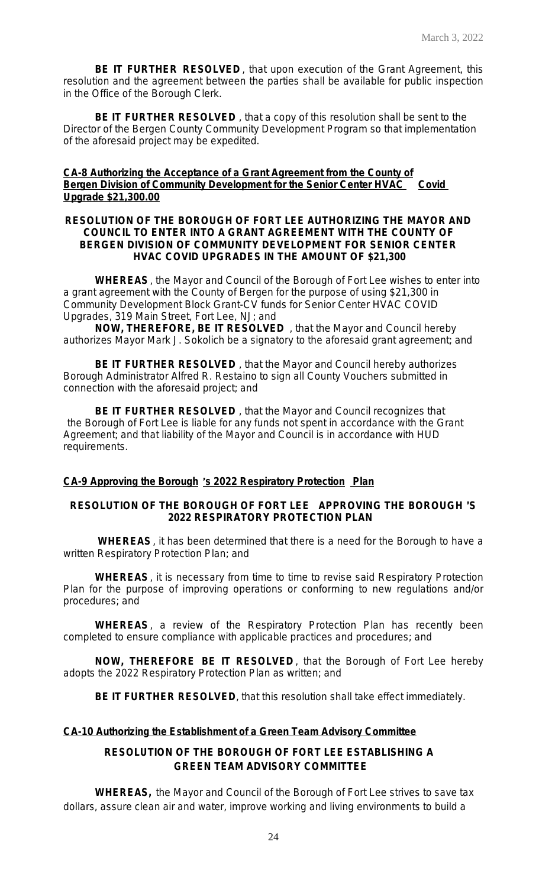**BE IT FURTHER RESOLVED** , that upon execution of the Grant Agreement, this resolution and the agreement between the parties shall be available for public inspection in the Office of the Borough Clerk.

**BE IT FURTHER RESOLVED** , that a copy of this resolution shall be sent to the Director of the Bergen County Community Development Program so that implementation of the aforesaid project may be expedited.

# **CA-8 Authorizing the Acceptance of a Grant Agreement from the County of Bergen Division of Community Development for the Senior Center HVAC Covid Upgrade \$21,300.00**

#### **RESOLUTION OF THE BOROUGH OF FORT LEE AUTHORIZING THE MAYOR AND COUNCIL TO ENTER INTO A GRANT AGREEMENT WITH THE COUNTY OF BERGEN DIVISION OF COMMUNITY DEVELOPMENT FOR SENIOR CENTER HVAC COVID UPGRADES IN THE AMOUNT OF \$21,300**

**WHEREAS**, the Mayor and Council of the Borough of Fort Lee wishes to enter into a grant agreement with the County of Bergen for the purpose of using \$21,300 in Community Development Block Grant-CV funds for Senior Center HVAC COVID Upgrades, 319 Main Street, Fort Lee, NJ; and

**NOW, THEREFORE, BE IT RESOLVED** , that the Mayor and Council hereby authorizes Mayor Mark J. Sokolich be a signatory to the aforesaid grant agreement; and

**BE IT FURTHER RESOLVED** , that the Mayor and Council hereby authorizes Borough Administrator Alfred R. Restaino to sign all County Vouchers submitted in connection with the aforesaid project; and

**BE IT FURTHER RESOLVED** , that the Mayor and Council recognizes that the Borough of Fort Lee is liable for any funds not spent in accordance with the Grant Agreement; and that liability of the Mayor and Council is in accordance with HUD requirements.

#### **CA-9 Approving the Borough** '**s 2022 Respiratory Protection Plan**

# **RESOLUTION OF THE BOROUGH OF FORT LEE APPROVING THE BOROUGH** '**S 2022 RESPIRATORY PROTECTION PLAN**

**WHEREAS**, it has been determined that there is a need for the Borough to have a written Respiratory Protection Plan; and

**WHEREAS**, it is necessary from time to time to revise said Respiratory Protection Plan for the purpose of improving operations or conforming to new regulations and/or procedures; and

**WHEREAS**, a review of the Respiratory Protection Plan has recently been completed to ensure compliance with applicable practices and procedures; and

**NOW, THEREFORE BE IT RESOLVED** , that the Borough of Fort Lee hereby adopts the 2022 Respiratory Protection Plan as written; and

**BE IT FURTHER RESOLVED**, that this resolution shall take effect immediately.

# **CA-10 Authorizing the Establishment of a Green Team Advisory Committee**

# **RESOLUTION OF THE BOROUGH OF FORT LEE ESTABLISHING A GREEN TEAM ADVISORY COMMITTEE**

**WHEREAS,** the Mayor and Council of the Borough of Fort Lee strives to save tax dollars, assure clean air and water, improve working and living environments to build a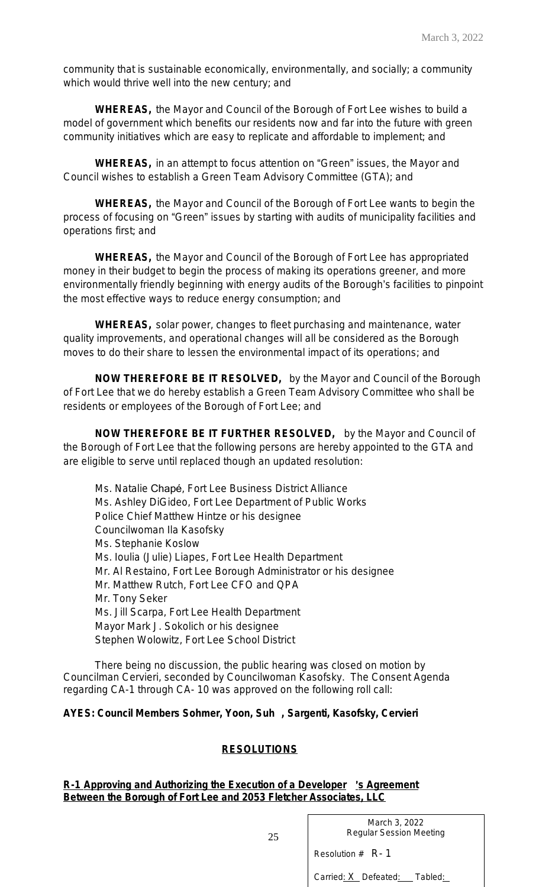community that is sustainable economically, environmentally, and socially; a community which would thrive well into the new century; and

**WHEREAS,** the Mayor and Council of the Borough of Fort Lee wishes to build a model of government which benefits our residents now and far into the future with green community initiatives which are easy to replicate and affordable to implement; and

**WHEREAS,** in an attempt to focus attention on "Green" issues, the Mayor and Council wishes to establish a Green Team Advisory Committee (GTA); and

**WHEREAS,** the Mayor and Council of the Borough of Fort Lee wants to begin the process of focusing on "Green" issues by starting with audits of municipality facilities and operations first; and

**WHEREAS,** the Mayor and Council of the Borough of Fort Lee has appropriated money in their budget to begin the process of making its operations greener, and more environmentally friendly beginning with energy audits of the Borough's facilities to pinpoint the most effective ways to reduce energy consumption; and

**WHEREAS,** solar power, changes to fleet purchasing and maintenance, water quality improvements, and operational changes will all be considered as the Borough moves to do their share to lessen the environmental impact of its operations; and

**NOW THEREFORE BE IT RESOLVED,** by the Mayor and Council of the Borough of Fort Lee that we do hereby establish a Green Team Advisory Committee who shall be residents or employees of the Borough of Fort Lee; and

**NOW THEREFORE BE IT FURTHER RESOLVED,** by the Mayor and Council of the Borough of Fort Lee that the following persons are hereby appointed to the GTA and are eligible to serve until replaced though an updated resolution:

Ms. Natalie Chapé, Fort Lee Business District Alliance Ms. Ashley DiGideo, Fort Lee Department of Public Works Police Chief Matthew Hintze or his designee Councilwoman Ila Kasofsky Ms. Stephanie Koslow Ms. Ioulia (Julie) Liapes, Fort Lee Health Department Mr. Al Restaino, Fort Lee Borough Administrator or his designee Mr. Matthew Rutch, Fort Lee CFO and QPA Mr. Tony Seker Ms. Jill Scarpa, Fort Lee Health Department Mayor Mark J. Sokolich or his designee Stephen Wolowitz, Fort Lee School District

There being no discussion, the public hearing was closed on motion by Councilman Cervieri, seconded by Councilwoman Kasofsky. The Consent Agenda regarding CA-1 through CA- 10 was approved on the following roll call:

# **AYES: Council Members Sohmer, Yoon, Suh , Sargenti, Kasofsky, Cervieri**

#### **RESOLUTIONS**

**R-1 Approving and Authorizing the Execution of a Developer** '**s Agreement Between the Borough of Fort Lee and 2053 Fletcher Associates, LLC**

> March 3, 2022 Regular Session Meeting

Resolution # R- 1

Carried: X Defeated: \_ Tabled: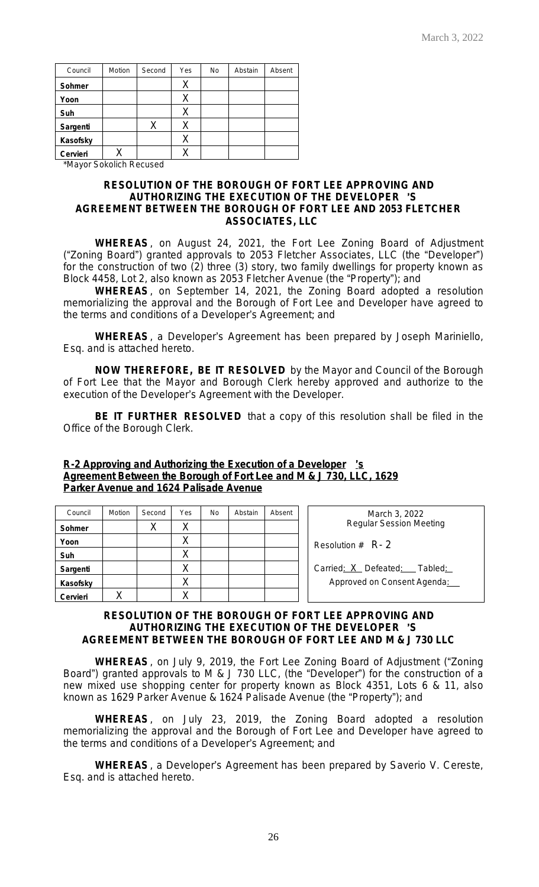| Council  | Motion | Second | Yes | <b>No</b> | Abstain | Absent |
|----------|--------|--------|-----|-----------|---------|--------|
| Sohmer   |        |        |     |           |         |        |
| Yoon     |        |        | Χ   |           |         |        |
| Suh      |        |        | Χ   |           |         |        |
| Sargenti |        | Х      | X   |           |         |        |
| Kasofsky |        |        | Х   |           |         |        |
| Cervieri |        |        |     |           |         |        |

\*Mayor Sokolich Recused

#### **RESOLUTION OF THE BOROUGH OF FORT LEE APPROVING AND AUTHORIZING THE EXECUTION OF THE DEVELOPER** '**S AGREEMENT BETWEEN THE BOROUGH OF FORT LEE AND 2053 FLETCHER ASSOCIATES, LLC**

**WHEREAS**, on August 24, 2021, the Fort Lee Zoning Board of Adjustment ("Zoning Board") granted approvals to 2053 Fletcher Associates, LLC (the "Developer") for the construction of two (2) three (3) story, two family dwellings for property known as Block 4458, Lot 2, also known as 2053 Fletcher Avenue (the "Property"); and

**WHEREAS**, on September 14, 2021, the Zoning Board adopted a resolution memorializing the approval and the Borough of Fort Lee and Developer have agreed to the terms and conditions of a Developer's Agreement; and

**WHEREAS**, a Developer's Agreement has been prepared by Joseph Mariniello, Esq. and is attached hereto.

**NOW THEREFORE, BE IT RESOLVED** by the Mayor and Council of the Borough of Fort Lee that the Mayor and Borough Clerk hereby approved and authorize to the execution of the Developer's Agreement with the Developer.

**BE IT FURTHER RESOLVED** that a copy of this resolution shall be filed in the Office of the Borough Clerk.

#### **R-2 Approving and Authorizing the Execution of a Developer** '**s Agreement Between the Borough of Fort Lee and M & J 730, LLC, 1629 Parker Avenue and 1624 Palisade Avenue**

| Council  | Motion | Second | Yes | <b>No</b> | Abstain | Absent | March 3, 2022                  |
|----------|--------|--------|-----|-----------|---------|--------|--------------------------------|
| Sohmer   |        |        | ⌒   |           |         |        | <b>Regular Session Meeting</b> |
| Yoon     |        |        | ⌒   |           |         |        | Resolution $#$ R- 2            |
| Suh      |        |        | Χ   |           |         |        |                                |
| Sargenti |        |        |     |           |         |        | Carried: X Defeated: Tabled:   |
| Kasofsky |        |        | ∨   |           |         |        | Approved on Consent Agenda:    |
| Cervieri |        |        |     |           |         |        |                                |

#### **RESOLUTION OF THE BOROUGH OF FORT LEE APPROVING AND AUTHORIZING THE EXECUTION OF THE DEVELOPER** '**S AGREEMENT BETWEEN THE BOROUGH OF FORT LEE AND M & J 730 LLC**

**WHEREAS**, on July 9, 2019, the Fort Lee Zoning Board of Adjustment ("Zoning Board") granted approvals to M & J 730 LLC, (the "Developer") for the construction of a new mixed use shopping center for property known as Block 4351, Lots 6 & 11, also known as 1629 Parker Avenue & 1624 Palisade Avenue (the "Property"); and

**WHEREAS**, on July 23, 2019, the Zoning Board adopted a resolution memorializing the approval and the Borough of Fort Lee and Developer have agreed to the terms and conditions of a Developer's Agreement; and

**WHEREAS**, a Developer's Agreement has been prepared by Saverio V. Cereste, Esq. and is attached hereto.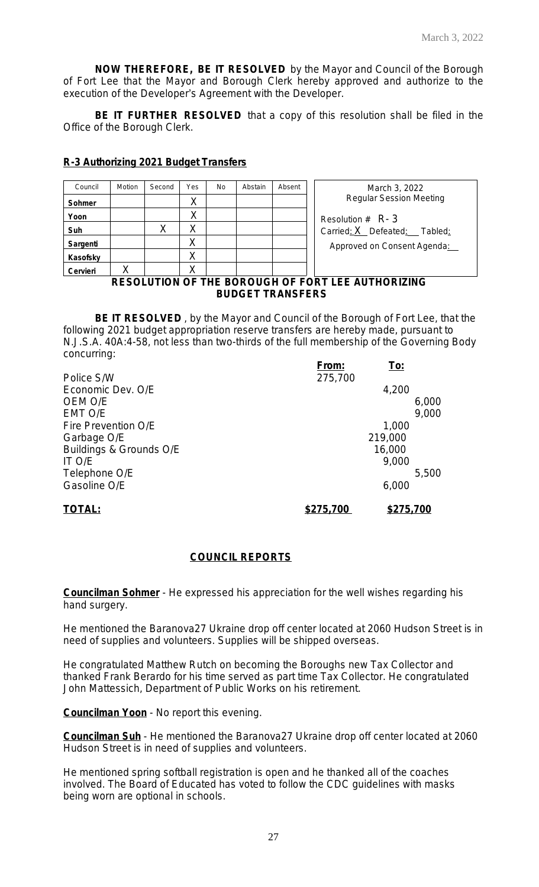**NOW THEREFORE, BE IT RESOLVED** by the Mayor and Council of the Borough of Fort Lee that the Mayor and Borough Clerk hereby approved and authorize to the execution of the Developer's Agreement with the Developer.

**BE IT FURTHER RESOLVED** that a copy of this resolution shall be filed in the Office of the Borough Clerk.

# **R-3 Authorizing 2021 Budget Transfers**

| Council                                                  | Motion | Second | Yes | No | Abstain | Absent | March 3, 2022                  |  |
|----------------------------------------------------------|--------|--------|-----|----|---------|--------|--------------------------------|--|
| Sohmer                                                   |        |        |     |    |         |        | <b>Regular Session Meeting</b> |  |
| Yoon                                                     |        |        |     |    |         |        | Resolution $#$ R- 3            |  |
| Suh                                                      |        | Χ      |     |    |         |        | Carried: X Defeated: Tabled:   |  |
| Sargenti                                                 |        |        | Χ   |    |         |        | Approved on Consent Agenda:    |  |
| Kasofsky                                                 |        |        | Χ   |    |         |        |                                |  |
| Cervieri                                                 |        |        |     |    |         |        |                                |  |
| <b>RESOLUTION OF THE BOROUGH OF FORT LEE AUTHORIZING</b> |        |        |     |    |         |        |                                |  |

# **BUDGET TRANSFERS**

**BE IT RESOLVED** , by the Mayor and Council of the Borough of Fort Lee, that the following 2021 budget appropriation reserve transfers are hereby made, pursuant to N.J.S.A. 40A:4-58, not less than two-thirds of the full membership of the Governing Body concurring:

|                         | From:     | <u>To:</u> |       |
|-------------------------|-----------|------------|-------|
| Police S/W              | 275,700   |            |       |
| Economic Dev. O/E       |           | 4,200      |       |
| OEM O/E                 |           |            | 6,000 |
| EMT O/E                 |           |            | 9,000 |
| Fire Prevention O/E     |           | 1,000      |       |
| Garbage O/E             |           | 219,000    |       |
| Buildings & Grounds O/E |           | 16,000     |       |
| IT O/E                  |           | 9,000      |       |
| Telephone O/E           |           |            | 5,500 |
| Gasoline O/E            |           | 6,000      |       |
| <b>TOTAL:</b>           | \$275,700 | \$275,700  |       |

# **COUNCIL REPORTS**

**Councilman Sohmer** - He expressed his appreciation for the well wishes regarding his hand surgery.

He mentioned the Baranova27 Ukraine drop off center located at 2060 Hudson Street is in need of supplies and volunteers. Supplies will be shipped overseas.

He congratulated Matthew Rutch on becoming the Boroughs new Tax Collector and thanked Frank Berardo for his time served as part time Tax Collector. He congratulated John Mattessich, Department of Public Works on his retirement.

**Councilman Yoon** - No report this evening.

**Councilman Suh** - He mentioned the Baranova27 Ukraine drop off center located at 2060 Hudson Street is in need of supplies and volunteers.

He mentioned spring softball registration is open and he thanked all of the coaches involved. The Board of Educated has voted to follow the CDC guidelines with masks being worn are optional in schools.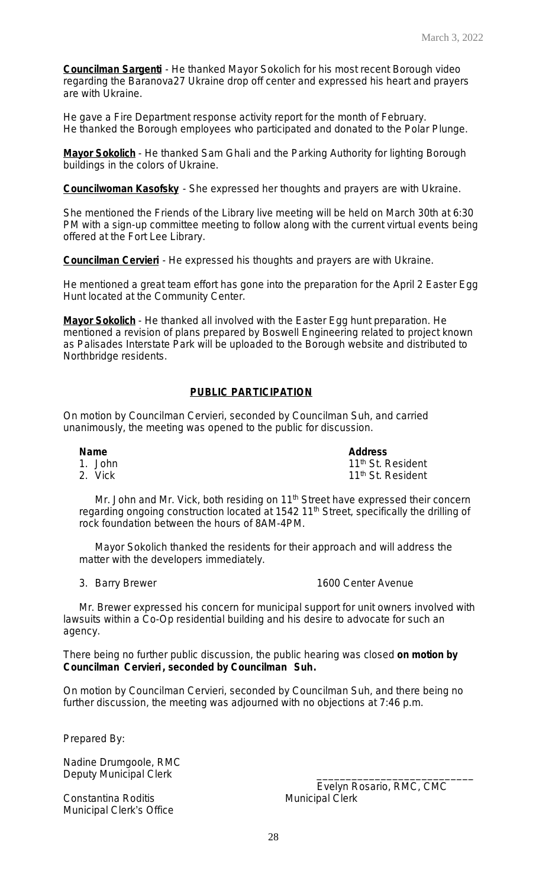**Councilman Sargenti** - He thanked Mayor Sokolich for his most recent Borough video regarding the Baranova27 Ukraine drop off center and expressed his heart and prayers are with Ukraine.

He gave a Fire Department response activity report for the month of February. He thanked the Borough employees who participated and donated to the Polar Plunge.

**Mayor Sokolich** - He thanked Sam Ghali and the Parking Authority for lighting Borough buildings in the colors of Ukraine.

**Councilwoman Kasofsky** - She expressed her thoughts and prayers are with Ukraine.

She mentioned the Friends of the Library live meeting will be held on March 30th at 6:30 PM with a sign-up committee meeting to follow along with the current virtual events being offered at the Fort Lee Library.

**Councilman Cervieri** - He expressed his thoughts and prayers are with Ukraine.

He mentioned a great team effort has gone into the preparation for the April 2 Easter Egg Hunt located at the Community Center.

**Mayor Sokolich** - He thanked all involved with the Easter Egg hunt preparation. He mentioned a revision of plans prepared by Boswell Engineering related to project known as Palisades Interstate Park will be uploaded to the Borough website and distributed to Northbridge residents.

# **PUBLIC PARTICIPATION**

On motion by Councilman Cervieri, seconded by Councilman Suh, and carried unanimously, the meeting was opened to the public for discussion.

**Name Address**<br> **Address**<br> **Address**<br> **Address** 1. John 11th St. Resident<br>2. Vick 11th St. Resident 11<sup>th</sup> St. Resident

Mr. John and Mr. Vick, both residing on 11<sup>th</sup> Street have expressed their concern regarding ongoing construction located at 1542 11<sup>th</sup> Street, specifically the drilling of rock foundation between the hours of 8AM-4PM.

Mayor Sokolich thanked the residents for their approach and will address the matter with the developers immediately.

#### 3. Barry Brewer 1600 Center Avenue

Mr. Brewer expressed his concern for municipal support for unit owners involved with lawsuits within a Co-Op residential building and his desire to advocate for such an agency.

There being no further public discussion, the public hearing was closed **on motion by Councilman Cervieri , seconded by Councilman Suh.**

On motion by Councilman Cervieri, seconded by Councilman Suh, and there being no further discussion, the meeting was adjourned with no objections at 7:46 p.m.

Prepared By:

Nadine Drumgoole, RMC Deputy Municipal Clerk

Constantina Roditis **Municipal Clerk** Municipal Clerk Municipal Clerk's Office

Evelyn Rosario, RMC, CMC